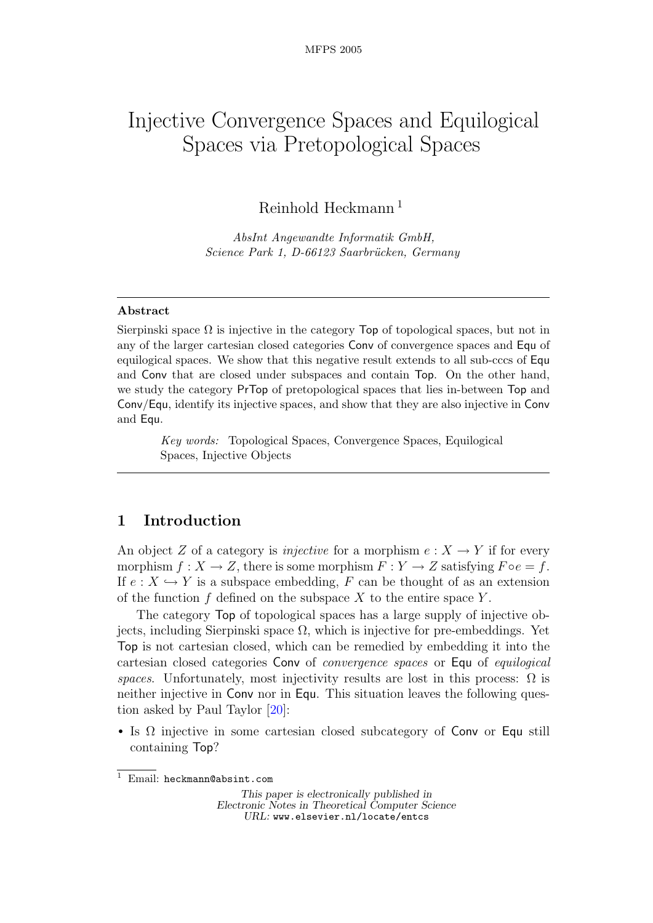# Injective Convergence Spaces and Equilogical Spaces via Pretopological Spaces

Reinhold Heckmann<sup>1</sup>

AbsInt Angewandte Informatik GmbH, Science Park 1, D-66123 Saarbrücken, Germany

#### Abstract

Sierpinski space  $\Omega$  is injective in the category **Top** of topological spaces, but not in any of the larger cartesian closed categories Conv of convergence spaces and Equ of equilogical spaces. We show that this negative result extends to all sub-cccs of Equ and Conv that are closed under subspaces and contain Top. On the other hand, we study the category PrTop of pretopological spaces that lies in-between Top and Conv/Equ, identify its injective spaces, and show that they are also injective in Conv and Equ.

Key words: Topological Spaces, Convergence Spaces, Equilogical Spaces, Injective Objects

### 1 Introduction

An object Z of a category is *injective* for a morphism  $e: X \to Y$  if for every morphism  $f: X \to Z$ , there is some morphism  $F: Y \to Z$  satisfying  $F \circ e = f$ . If  $e: X \hookrightarrow Y$  is a subspace embedding, F can be thought of as an extension of the function  $f$  defined on the subspace  $X$  to the entire space  $Y$ .

The category Top of topological spaces has a large supply of injective objects, including Sierpinski space Ω, which is injective for pre-embeddings. Yet Top is not cartesian closed, which can be remedied by embedding it into the cartesian closed categories Conv of convergence spaces or Equ of equilogical spaces. Unfortunately, most injectivity results are lost in this process:  $\Omega$  is neither injective in Conv nor in Equ. This situation leaves the following question asked by Paul Taylor [\[20\]](#page-18-0):

• Is  $\Omega$  injective in some cartesian closed subcategory of Conv or Equ still containing Top?

This paper is electronically published in Electronic Notes in Theoretical Computer Science URL: www.elsevier.nl/locate/entcs

 $\overline{1 \text{ Email}}$ : heckmann@absint.com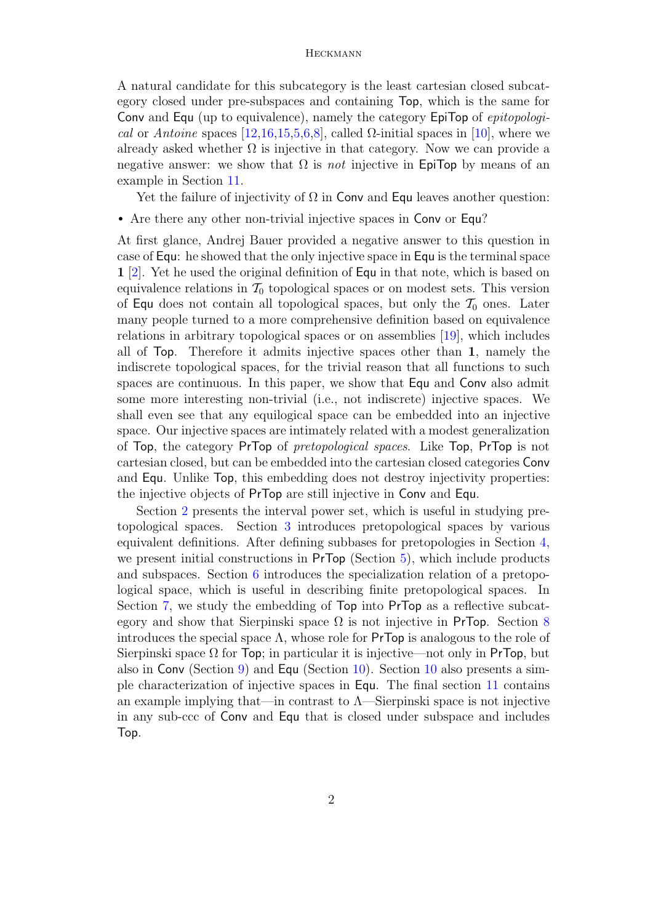A natural candidate for this subcategory is the least cartesian closed subcategory closed under pre-subspaces and containing Top, which is the same for Conv and Equ (up to equivalence), namely the category EpiTop of *epitopologi-*cal or Antoine spaces [\[12,](#page-18-1)[16,](#page-18-2)[15,](#page-18-3)[5,](#page-17-0)[6,](#page-17-1)[8\]](#page-18-4), called  $\Omega$ -initial spaces in [\[10\]](#page-18-5), where we already asked whether  $\Omega$  is injective in that category. Now we can provide a negative answer: we show that  $\Omega$  is *not* injective in EpiTop by means of an example in Section [11.](#page-16-0)

Yet the failure of injectivity of  $\Omega$  in Conv and Equ leaves another question:

• Are there any other non-trivial injective spaces in Conv or Equ?

At first glance, Andrej Bauer provided a negative answer to this question in case of Equ: he showed that the only injective space in Equ is the terminal space 1 [\[2\]](#page-17-2). Yet he used the original definition of Equ in that note, which is based on equivalence relations in  $\mathcal{T}_0$  topological spaces or on modest sets. This version of Equ does not contain all topological spaces, but only the  $\mathcal{T}_0$  ones. Later many people turned to a more comprehensive definition based on equivalence relations in arbitrary topological spaces or on assemblies [\[19\]](#page-18-6), which includes all of Top. Therefore it admits injective spaces other than 1, namely the indiscrete topological spaces, for the trivial reason that all functions to such spaces are continuous. In this paper, we show that Equ and Conv also admit some more interesting non-trivial (i.e., not indiscrete) injective spaces. We shall even see that any equilogical space can be embedded into an injective space. Our injective spaces are intimately related with a modest generalization of Top, the category PrTop of *pretopological spaces*. Like Top, PrTop is not cartesian closed, but can be embedded into the cartesian closed categories Conv and Equ. Unlike Top, this embedding does not destroy injectivity properties: the injective objects of PrTop are still injective in Conv and Equ.

Section [2](#page-2-0) presents the interval power set, which is useful in studying pretopological spaces. Section [3](#page-3-0) introduces pretopological spaces by various equivalent definitions. After defining subbases for pretopologies in Section [4,](#page-4-0) we present initial constructions in PrTop (Section [5\)](#page-5-0), which include products and subspaces. Section [6](#page-6-0) introduces the specialization relation of a pretopological space, which is useful in describing finite pretopological spaces. In Section [7,](#page-7-0) we study the embedding of Top into PrTop as a reflective subcategory and show that Sierpinski space  $\Omega$  is not injective in PrTop. Section [8](#page-8-0) introduces the special space  $\Lambda$ , whose role for PrTop is analogous to the role of Sierpinski space  $\Omega$  for Top; in particular it is injective—not only in PrTop, but also in Conv (Section [9\)](#page-11-0) and Equ (Section [10\)](#page-13-0). Section [10](#page-13-0) also presents a simple characterization of injective spaces in Equ. The final section [11](#page-16-0) contains an example implying that—in contrast to  $\Lambda$ —Sierpinski space is not injective in any sub-ccc of Conv and Equ that is closed under subspace and includes Top.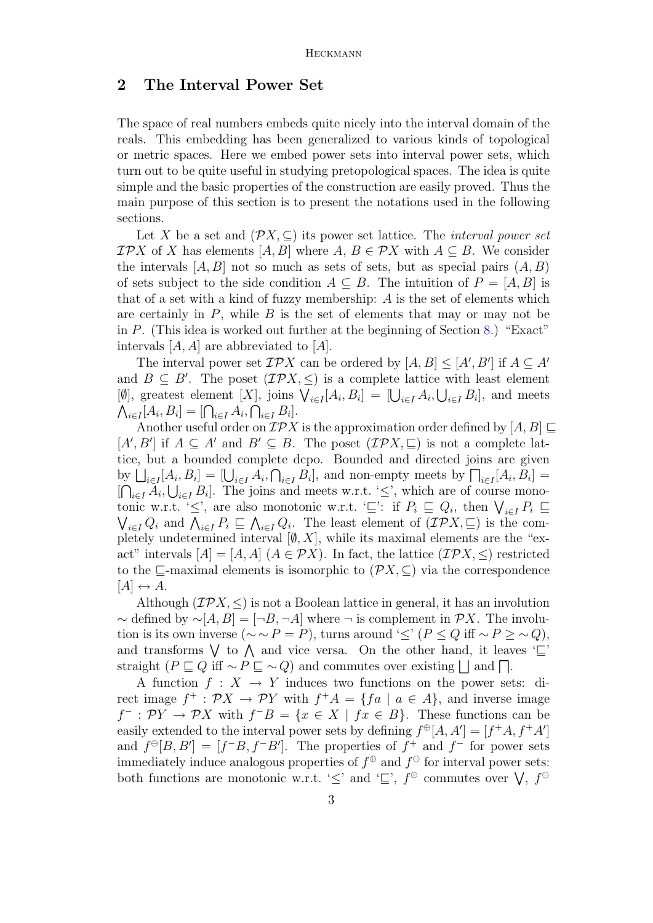### <span id="page-2-0"></span>2 The Interval Power Set

The space of real numbers embeds quite nicely into the interval domain of the reals. This embedding has been generalized to various kinds of topological or metric spaces. Here we embed power sets into interval power sets, which turn out to be quite useful in studying pretopological spaces. The idea is quite simple and the basic properties of the construction are easily proved. Thus the main purpose of this section is to present the notations used in the following sections.

Let X be a set and  $(\mathcal{P}X, \subseteq)$  its power set lattice. The *interval power set*  $\mathcal{IP}X$  of X has elements  $[A, B]$  where  $A, B \in \mathcal{P}X$  with  $A \subseteq B$ . We consider the intervals  $[A, B]$  not so much as sets of sets, but as special pairs  $(A, B)$ of sets subject to the side condition  $A \subseteq B$ . The intuition of  $P = [A, B]$  is that of a set with a kind of fuzzy membership: A is the set of elements which are certainly in  $P$ , while  $B$  is the set of elements that may or may not be in  $P$ . (This idea is worked out further at the beginning of Section [8.](#page-8-0)) "Exact" intervals  $[A, A]$  are abbreviated to  $[A]$ .

The interval power set  $\mathcal{IP}X$  can be ordered by  $[A, B] \leq [A', B']$  if  $A \subseteq A'$ and  $B \subseteq B'$ . The poset  $(\mathcal{IPX}, \leq)$  is a complete lattice with least element [Ø], greatest element [X], joins  $\bigvee_{i\in I} [A_i, B_i] = [\bigcup_{i\in I} A_i, \bigcup_{i\in I} B_i]$ , and meets  $\bigwedge_{i\in I} [A_i, B_i] = [\bigcap_{i\in I} A_i, \bigcap_{i\in I} B_i].$ 

Another useful order on  $\mathcal{IP}X$  is the approximation order defined by  $[A, B] \sqsubseteq$  $[A', B']$  if  $A \subseteq A'$  and  $B' \subseteq B$ . The poset  $(\mathcal{IP}X, \sqsubseteq)$  is not a complete lattice, but a bounded complete dcpo. Bounded and directed joins are given by  $\bigsqcup_{i\in I} [A_i, B_i] = [\bigcup_{i\in I} A_i, \bigcap_{i\in I} B_i]$ , and non-empty meets by  $\bigcap_{i\in I} [A_i, B_i] =$  $[\bigcap_{i\in I} A_i, \bigcup_{i\in I} B_i]$ . The joins and meets w.r.t. ' $\leq$ ', which are of course monotonic w.r.t. ' $\leq$ ', are also monotonic w.r.t. ' $\subseteq$ ': if  $P_i \subseteq Q_i$ , then  $\bigvee_{i \in I} P_i \subseteq$  $\bigvee_{i\in I} Q_i$  and  $\bigwedge_{i\in I} P_i \sqsubseteq \bigwedge_{i\in I} Q_i$ . The least element of  $(\mathcal{IP}X,\sqsubseteq)$  is the completely undetermined interval  $[ $\emptyset$ , X]$ , while its maximal elements are the "exact" intervals  $[A] = [A, A]$   $(A \in \mathcal{P}X)$ . In fact, the lattice  $(\mathcal{IP}X, \leq)$  restricted to the  $\sqsubseteq$ -maximal elements is isomorphic to  $(\mathcal{P}X,\subseteq)$  via the correspondence  $[A] \leftrightarrow A$ .

Although  $(\mathcal{IPX}, \leq)$  is not a Boolean lattice in general, it has an involution  $\sim$  defined by  $\sim$ [A, B] = [¬B, ¬A] where ¬ is complement in  $\mathcal{P}X$ . The involution is its own inverse ( $\sim \sim P = P$ ), turns around ' $\leq' (P \leq Q \text{ iff } \sim P \geq \sim Q)$ , and transforms  $\vee$  to  $\wedge$  and vice versa. On the other hand, it leaves ' $\subseteq$ ' straight  $(P \sqsubseteq Q \text{ iff } \sim P \sqsubseteq \sim Q)$  and commutes over existing  $\Box$  and  $\Box$ .

A function  $f: X \to Y$  induces two functions on the power sets: direct image  $f^+ : \mathcal{P}X \to \mathcal{P}Y$  with  $f^+A = \{fa \mid a \in A\}$ , and inverse image  $f^- : \mathcal{P}Y \to \mathcal{P}X$  with  $f^-B = \{x \in X \mid fx \in B\}$ . These functions can be easily extended to the interval power sets by defining  $f^{\oplus}[A, A'] = [f^+A, f^+A']$ and  $f^{\ominus}[B, B'] = [f^{-}B, f^{-}B']$ . The properties of  $f^{+}$  and  $f^{-}$  for power sets immediately induce analogous properties of  $f^{\oplus}$  and  $f^{\ominus}$  for interval power sets: both functions are monotonic w.r.t. ' $\leq'$  and ' $\sqsubseteq'$ ,  $f^{\oplus}$  commutes over  $\bigvee$ ,  $f^{\ominus}$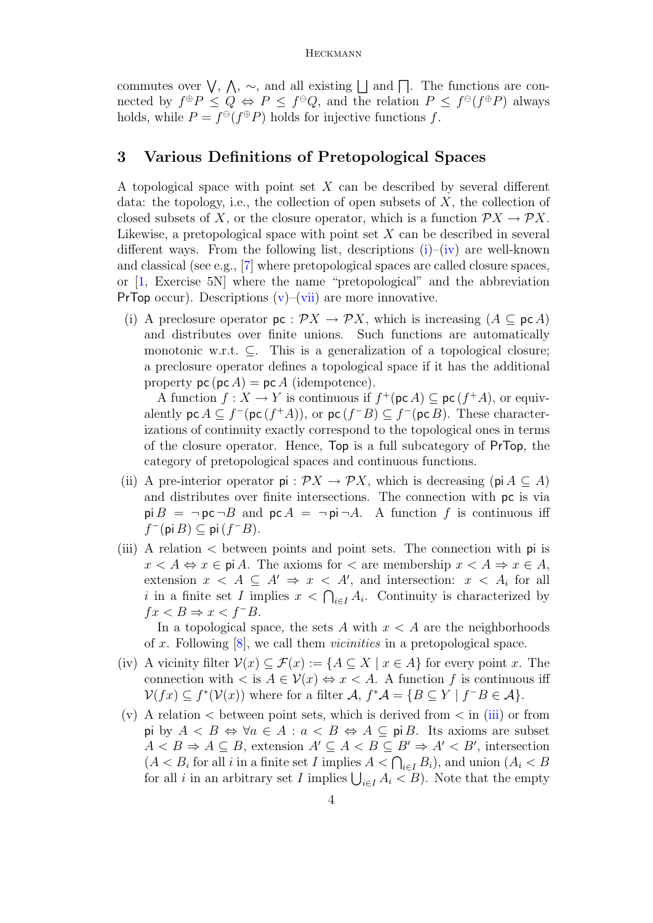commutes over  $\bigvee$ ,  $\bigwedge$ ,  $\sim$ , and all existing  $\Box$  and  $\Box$ . The functions are connected by  $f^{\oplus}P \leq Q \Leftrightarrow P \leq f^{\ominus}Q$ , and the relation  $P \leq f^{\ominus}(f^{\oplus}P)$  always holds, while  $P = f^{\oplus}(f^{\oplus}P)$  holds for injective functions f.

### <span id="page-3-0"></span>3 Various Definitions of Pretopological Spaces

A topological space with point set X can be described by several different data: the topology, i.e., the collection of open subsets of  $X$ , the collection of closed subsets of X, or the closure operator, which is a function  $\mathcal{P}X \to \mathcal{P}X$ . Likewise, a pretopological space with point set  $X$  can be described in several different ways. From the following list, descriptions  $(i)$ – $(iv)$  are well-known and classical (see e.g., [\[7\]](#page-18-7) where pretopological spaces are called closure spaces, or [\[1,](#page-17-3) Exercise 5N] where the name "pretopological" and the abbreviation **PrTop** occur). Descriptions  $(v)$ – $(vii)$  are more innovative.

<span id="page-3-1"></span>(i) A preclosure operator  $\mathsf{pc}: \mathcal{P}X \to \mathcal{P}X$ , which is increasing  $(A \subseteq \mathsf{pc} A)$ and distributes over finite unions. Such functions are automatically monotonic w.r.t.  $\subseteq$ . This is a generalization of a topological closure; a preclosure operator defines a topological space if it has the additional property  $\textsf{pc}(\textsf{pc} A) = \textsf{pc} A$  (idempotence).

A function  $f: X \to Y$  is continuous if  $f^+(\text{pc }A) \subseteq \text{pc}(f^+A)$ , or equivalently  $\mathsf{pc}\,A \subseteq f^-(\mathsf{pc}\,(f^+A))$ , or  $\mathsf{pc}\,(f^-B) \subseteq f^-(\mathsf{pc}\,B)$ . These characterizations of continuity exactly correspond to the topological ones in terms of the closure operator. Hence, Top is a full subcategory of PrTop, the category of pretopological spaces and continuous functions.

- (ii) A pre-interior operator  $pi : \mathcal{P}X \to \mathcal{P}X$ , which is decreasing ( $pi \subseteq A$ ) and distributes over finite intersections. The connection with pc is via  $p \nvert B = \neg p c \neg B$  and  $p c A = \neg p i \neg A$ . A function f is continuous iff  $f^-(\mathsf{pi}\,B) \subseteq \mathsf{pi}\,(f^-B).$
- <span id="page-3-4"></span>(iii) A relation < between points and point sets. The connection with pi is  $x < A \Leftrightarrow x \in \text{pi } A$ . The axioms for  $\lt$  are membership  $x < A \Rightarrow x \in A$ , extension  $x < A \subseteq A' \Rightarrow x < A'$ , and intersection:  $x < A_i$  for all i in a finite set I implies  $x < \bigcap_{i \in I} A_i$ . Continuity is characterized by  $fx < B \Rightarrow x < f^{-}B$ .

In a topological space, the sets A with  $x < A$  are the neighborhoods of x. Following  $[8]$ , we call them *vicinities* in a pretopological space.

- <span id="page-3-2"></span>(iv) A vicinity filter  $V(x) \subseteq \mathcal{F}(x) := \{A \subseteq X \mid x \in A\}$  for every point x. The connection with  $\langle s \, s \, A \in \mathcal{V}(x) \Leftrightarrow x \langle A \rangle$ . A function f is continuous iff  $\mathcal{V}(fx) \subseteq f^*(\mathcal{V}(x))$  where for a filter  $\mathcal{A}, f^*\mathcal{A} = \{B \subseteq Y \mid f^{-}B \in \mathcal{A}\}.$
- <span id="page-3-3"></span>(v) A relation  $\lt$  between point sets, which is derived from  $\lt$  in [\(iii\)](#page-3-4) or from pi by  $A \leq B \Leftrightarrow \forall a \in A : a \leq B \Leftrightarrow A \subseteq p \in B$ . Its axioms are subset  $A < B \Rightarrow A \subseteq B$ , extension  $A' \subseteq A < B \subseteq B' \Rightarrow A' < B'$ , intersection  $(A < B<sub>i</sub>$  for all i in a finite set I implies  $A < \bigcap_{i \in I} B_i$ , and union  $(A<sub>i</sub> < B<sub>i</sub>)$ for all *i* in an arbitrary set I implies  $\bigcup_{i \in I} A_i < B$ ). Note that the empty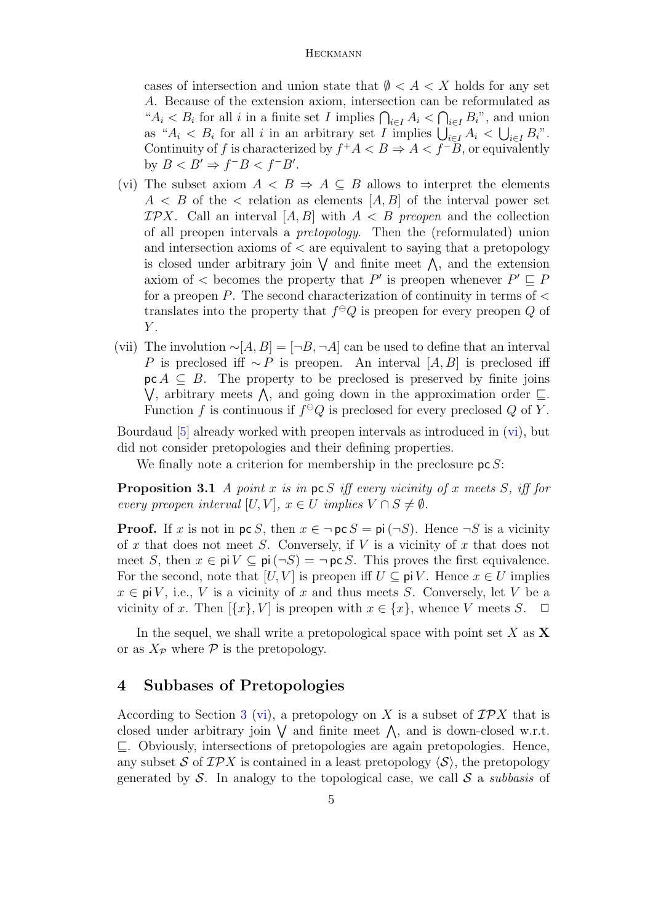cases of intersection and union state that  $\emptyset < A < X$  holds for any set A. Because of the extension axiom, intersection can be reformulated as " $A_i < B_i$  for all i in a finite set I implies  $\bigcap_{i \in I} A_i < \bigcap_{i \in I} B_i$ ", and union as " $A_i < B_i$  for all i in an arbitrary set I implies  $\bigcup_{i \in I} A_i < \bigcup_{i \in I} B_i$ ". Continuity of f is characterized by  $f^+A < B \Rightarrow A < f^-B$ , or equivalently by  $B < B' \Rightarrow f^{-}B < f^{-}B'.$ 

- <span id="page-4-2"></span>(vi) The subset axiom  $A \leq B \Rightarrow A \subseteq B$  allows to interpret the elements  $A \leq B$  of the  $\leq$  relation as elements  $[A, B]$  of the interval power set  $\mathcal{IP}X$ . Call an interval  $[A, B]$  with  $A \leq B$  preopen and the collection of all preopen intervals a pretopology. Then the (reformulated) union and intersection axioms of  $\langle$  are equivalent to saying that a pretopology is closed under arbitrary join  $\vee$  and finite meet  $\wedge$ , and the extension axiom of  $\lt$  becomes the property that P' is preopen whenever  $P' \sqsubseteq P$ for a preopen  $P$ . The second characterization of continuity in terms of  $\lt$ translates into the property that  $f^{\ominus}Q$  is preopen for every preopen Q of  $Y$ .
- <span id="page-4-1"></span>(vii) The involution  $\sim [A, B] = [\neg B, \neg A]$  can be used to define that an interval P is preclosed iff  $\sim P$  is preopen. An interval [A, B] is preclosed iff  $\mathsf{pc}\,A \subseteq B$ . The property to be preclosed is preserved by finite joins  $\bigvee$ , arbitrary meets  $\bigwedge$ , and going down in the approximation order  $\sqsubseteq$ . Function f is continuous if  $f^{\ominus}Q$  is preclosed for every preclosed Q of Y.

Bourdaud [\[5\]](#page-17-0) already worked with preopen intervals as introduced in [\(vi\)](#page-4-2), but did not consider pretopologies and their defining properties.

We finally note a criterion for membership in the preclosure  $p \in S$ :

<span id="page-4-3"></span>**Proposition 3.1** A point x is in  $\text{pc } S$  iff every vicinity of x meets S, iff for every preopen interval [U, V],  $x \in U$  implies  $V \cap S \neq \emptyset$ .

**Proof.** If x is not in  $\text{pc } S$ , then  $x \in \text{pc } S = \text{pi } (\text{cm } S)$ . Hence  $\text{cm } S$  is a vicinity of x that does not meet S. Conversely, if  $V$  is a vicinity of x that does not meet S, then  $x \in \text{pi } V \subseteq \text{pi } (\neg S) = \neg \text{pc } S$ . This proves the first equivalence. For the second, note that  $[U, V]$  is preopen iff  $U \subseteq piV$ . Hence  $x \in U$  implies  $x \in \text{pi } V$ , i.e., V is a vicinity of x and thus meets S. Conversely, let V be a vicinity of x. Then  $[\{x\}, V]$  is preopen with  $x \in \{x\}$ , whence V meets S.  $\Box$ 

In the sequel, we shall write a pretopological space with point set X as  $X$ or as  $X_{\mathcal{P}}$  where  $\mathcal P$  is the pretopology.

### <span id="page-4-0"></span>4 Subbases of Pretopologies

According to Section [3](#page-3-0) [\(vi\)](#page-4-2), a pretopology on X is a subset of  $\mathcal{IP}X$  that is closed under arbitrary join  $\vee$  and finite meet  $\wedge$ , and is down-closed w.r.t.  $\sqsubseteq$ . Obviously, intersections of pretopologies are again pretopologies. Hence, any subset S of IPX is contained in a least pretopology  $\langle S \rangle$ , the pretopology generated by S. In analogy to the topological case, we call S a *subbasis* of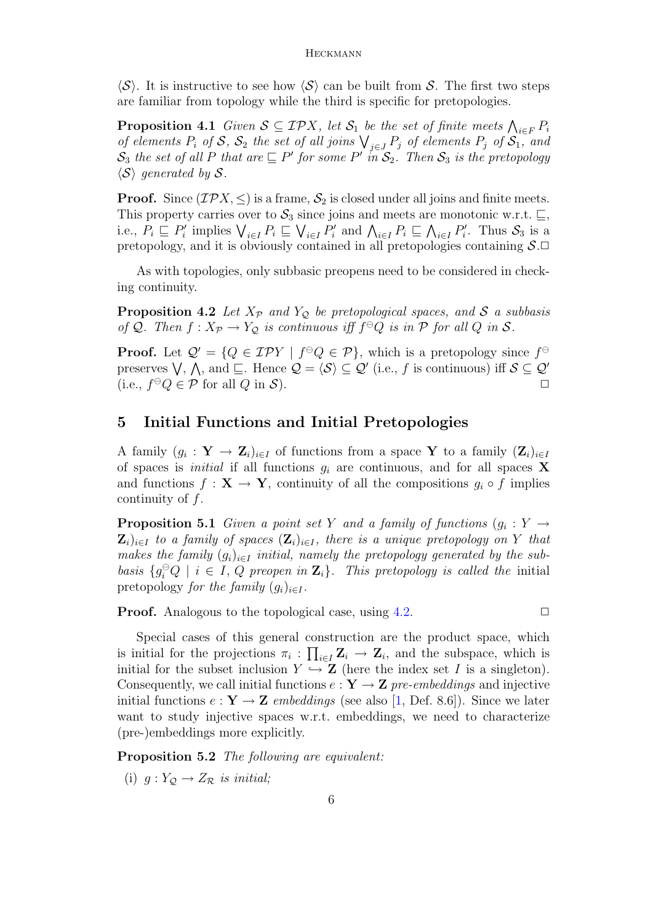$\langle S \rangle$ . It is instructive to see how  $\langle S \rangle$  can be built from S. The first two steps are familiar from topology while the third is specific for pretopologies.

<span id="page-5-4"></span>**Proposition 4.1** Given  $S \subseteq \mathcal{IPX}$ , let  $S_1$  be the set of finite meets  $\bigwedge_{i \in F} P_i$ of elements  $P_i$  of  $S$ ,  $S_2$  the set of all joins  $\bigvee_{j\in J} P_j$  of elements  $P_j$  of  $S_1$ , and  $\mathcal{S}_3$  the set of all P that are  $\sqsubseteq P'$  for some P' in  $\mathcal{S}_2$ . Then  $\mathcal{S}_3$  is the pretopology  $\langle S \rangle$  generated by S.

**Proof.** Since ( $\mathcal{IPX}, \leq$ ) is a frame,  $S_2$  is closed under all joins and finite meets. This property carries over to  $S_3$  since joins and meets are monotonic w.r.t.  $\sqsubseteq$ , i.e.,  $P_i \sqsubseteq P'_i$  implies  $\bigvee_{i \in I} P_i \sqsubseteq \bigvee_{i \in I} P'_i$  and  $\bigwedge_{i \in I} P_i \sqsubseteq \bigwedge_{i \in I} P'_i$ . Thus  $S_3$  is a pretopology, and it is obviously contained in all pretopologies containing  $S.\Box$ 

As with topologies, only subbasic preopens need to be considered in checking continuity.

<span id="page-5-1"></span>**Proposition 4.2** Let  $X_p$  and  $Y_Q$  be pretopological spaces, and S a subbasis of Q. Then  $f: X_{\mathcal{P}} \to Y_{\mathcal{Q}}$  is continuous iff  $f^{\ominus}Q$  is in  $\mathcal P$  for all  $Q$  in  $\mathcal S$ .

**Proof.** Let  $Q' = \{Q \in \mathcal{IPY} \mid f^{\ominus}Q \in \mathcal{P}\}\$ , which is a pretopology since  $f^{\ominus}$ preserves  $\bigvee$ ,  $\bigwedge$ , and  $\sqsubseteq$ . Hence  $\mathcal{Q} = \langle \mathcal{S} \rangle \subseteq \mathcal{Q}'$  (i.e., f is continuous) iff  $\mathcal{S} \subseteq \mathcal{Q}'$ (i.e.,  $f^{\ominus}Q \in \mathcal{P}$  for all  $Q$  in  $\mathcal{S}$ ).

## <span id="page-5-0"></span>5 Initial Functions and Initial Pretopologies

A family  $(g_i: \mathbf{Y} \to \mathbf{Z}_i)_{i \in I}$  of functions from a space Y to a family  $(\mathbf{Z}_i)_{i \in I}$ of spaces is *initial* if all functions  $g_i$  are continuous, and for all spaces **X** and functions  $f: \mathbf{X} \to \mathbf{Y}$ , continuity of all the compositions  $g_i \circ f$  implies continuity of f.

<span id="page-5-3"></span>**Proposition 5.1** Given a point set Y and a family of functions  $(g_i: Y \rightarrow$  $\mathbf{Z}_i)_{i\in I}$  to a family of spaces  $(\mathbf{Z}_i)_{i\in I}$ , there is a unique pretopology on Y that makes the family  $(g_i)_{i\in I}$  initial, namely the pretopology generated by the subbasis  $\{g_i^{\ominus}Q \mid i \in I, Q \text{ preopen in } \mathbf{Z}_i\}$ . This pretopology is called the initial pretopology for the family  $(q_i)_{i\in I}$ .

**Proof.** Analogous to the topological case, using  $4.2$ .  $\Box$ 

Special cases of this general construction are the product space, which is initial for the projections  $\pi_i : \prod_{i \in I} \mathbf{Z}_i \to \mathbf{Z}_i$ , and the subspace, which is initial for the subset inclusion  $Y \hookrightarrow \mathbb{Z}$  (here the index set I is a singleton). Consequently, we call initial functions  $e: \mathbf{Y} \to \mathbf{Z}$  pre-embeddings and injective initial functions  $e: \mathbf{Y} \to \mathbf{Z}$  embeddings (see also [\[1,](#page-17-3) Def. 8.6]). Since we later want to study injective spaces w.r.t. embeddings, we need to characterize (pre-)embeddings more explicitly.

<span id="page-5-5"></span>Proposition 5.2 The following are equivalent:

<span id="page-5-2"></span>(i)  $g: Y_{\mathcal{Q}} \to Z_{\mathcal{R}}$  is initial;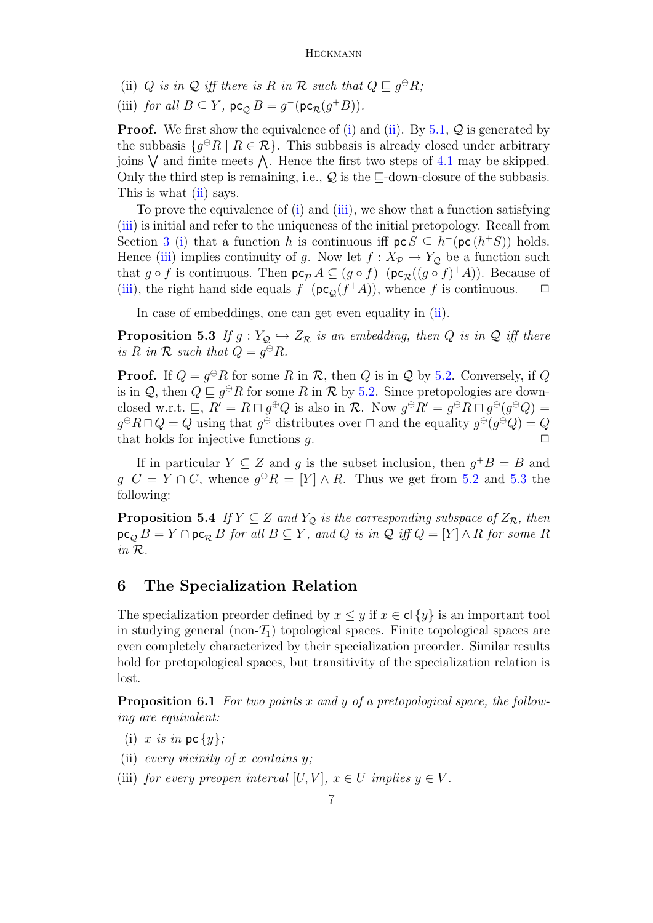- <span id="page-6-1"></span>(ii) Q is in Q iff there is R in R such that  $Q \sqsubseteq g^{\ominus}R$ ;
- <span id="page-6-2"></span>(iii) for all  $B \subseteq Y$ ,  $\mathsf{pc}_{\mathcal{Q}} B = g^-(\mathsf{pc}_{\mathcal{R}}(g^+B)).$

**Proof.** We first show the equivalence of [\(i\)](#page-5-2) and [\(ii\)](#page-6-1). By  $5.1$ ,  $\mathcal{Q}$  is generated by the subbasis  $\{g^{\ominus}R \mid R \in \mathcal{R}\}\$ . This subbasis is already closed under arbitrary joins  $\vee$  and finite meets  $\wedge$ . Hence the first two steps of [4.1](#page-5-4) may be skipped. Only the third step is remaining, i.e.,  $\mathcal{Q}$  is the  $\Box$ -down-closure of the subbasis. This is what [\(ii\)](#page-6-1) says.

To prove the equivalence of [\(i\)](#page-5-2) and [\(iii\)](#page-6-2), we show that a function satisfying [\(iii\)](#page-6-2) is initial and refer to the uniqueness of the initial pretopology. Recall from Section [3](#page-3-0) [\(i\)](#page-3-1) that a function h is continuous iff  $\mathsf{pc} \, S \subseteq h^-(\mathsf{pc}(h^+S))$  holds. Hence [\(iii\)](#page-6-2) implies continuity of g. Now let  $f: X_{\mathcal{P}} \to Y_{\mathcal{Q}}$  be a function such that  $g \circ f$  is continuous. Then  $\mathsf{pc}_P A \subseteq (g \circ f)^-(\mathsf{pc}_R((g \circ f)^+A))$ . Because of [\(iii\)](#page-6-2), the right hand side equals  $f^-(\text{pc}_\mathcal{Q}(f^+A))$ , whence f is continuous.  $\Box$ 

In case of embeddings, one can get even equality in [\(ii\)](#page-6-1).

<span id="page-6-3"></span>**Proposition 5.3** If  $g: Y_{\mathcal{Q}} \hookrightarrow Z_{\mathcal{R}}$  is an embedding, then Q is in Q iff there is R in R such that  $Q = g^{\ominus}R$ .

**Proof.** If  $Q = g^{\ominus}R$  for some R in R, then Q is in Q by [5.2.](#page-5-5) Conversely, if Q is in  $\mathcal{Q}$ , then  $Q \sqsubseteq g^{\ominus}R$  for some R in R by [5.2.](#page-5-5) Since pretopologies are downclosed w.r.t.  $\sqsubseteq$ ,  $R' = R \sqcap g^{\oplus}Q$  is also in  $\mathcal{R}$ . Now  $g^{\ominus}R' = g^{\ominus}R \sqcap g^{\ominus}(g^{\oplus}Q) =$  $g^{\ominus}R\sqcap Q=Q$  using that  $g^{\ominus}$  distributes over  $\sqcap$  and the equality  $g^{\ominus}(g^{\oplus}Q)=Q$ that holds for injective functions  $q$ .  $\Box$ 

If in particular  $Y \subseteq Z$  and g is the subset inclusion, then  $g^{\dagger}B = B$  and  $g^-C = Y \cap C$ , whence  $g^{\ominus}R = [Y] \wedge R$ . Thus we get from [5.2](#page-5-5) and [5.3](#page-6-3) the following:

**Proposition 5.4** If  $Y \subseteq Z$  and  $Y_Q$  is the corresponding subspace of  $Z_R$ , then  $\operatorname{pc}_Q B = Y \cap \operatorname{pc}_R B$  for all  $B \subseteq Y$ , and Q is in Q iff  $Q = [Y] \wedge R$  for some R in R.

### <span id="page-6-0"></span>6 The Specialization Relation

The specialization preorder defined by  $x \leq y$  if  $x \in cl$  {y} is an important tool in studying general (non- $\mathcal{T}_1$ ) topological spaces. Finite topological spaces are even completely characterized by their specialization preorder. Similar results hold for pretopological spaces, but transitivity of the specialization relation is lost.

**Proposition 6.1** For two points x and y of a pretopological space, the following are equivalent:

- (i) x is in pc  $\{y\}$ ;
- (ii) every vicinity of x contains  $y$ ;
- (iii) for every preopen interval [U, V],  $x \in U$  implies  $y \in V$ .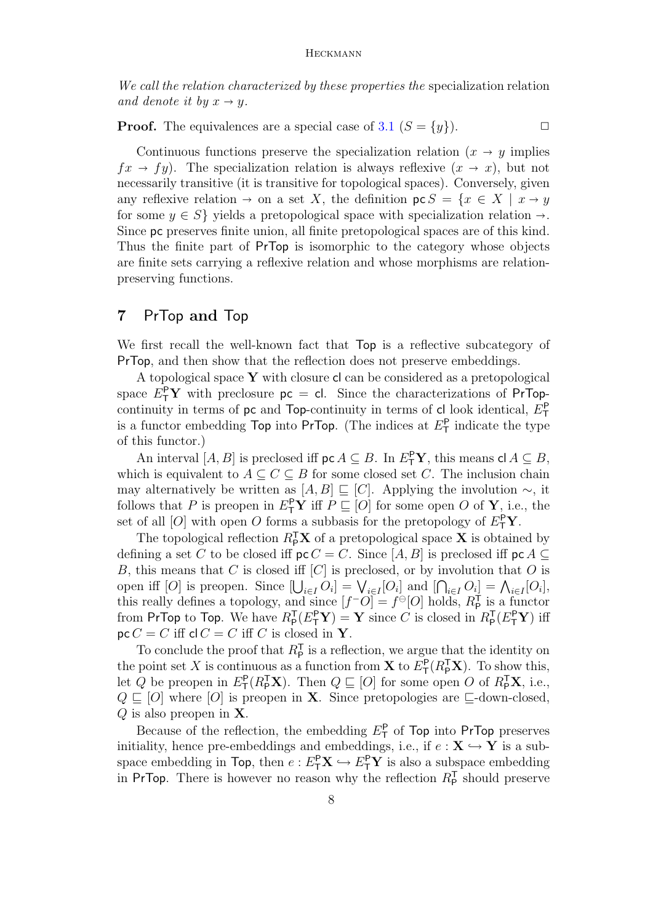We call the relation characterized by these properties the specialization relation and denote it by  $x \to y$ .

**Proof.** The equivalences are a special case of [3.1](#page-4-3)  $(S = \{y\})$ .

Continuous functions preserve the specialization relation  $(x \rightarrow y)$  implies  $fx \rightarrow fy$ ). The specialization relation is always reflexive  $(x \rightarrow x)$ , but not necessarily transitive (it is transitive for topological spaces). Conversely, given any reflexive relation  $\rightarrow$  on a set X, the definition  $\mathsf{pc} S = \{x \in X \mid x \rightarrow y\}$ for some  $y \in S$  yields a pretopological space with specialization relation  $\rightarrow$ . Since pc preserves finite union, all finite pretopological spaces are of this kind. Thus the finite part of PrTop is isomorphic to the category whose objects are finite sets carrying a reflexive relation and whose morphisms are relationpreserving functions.

### <span id="page-7-0"></span>7 PrTop and Top

We first recall the well-known fact that  $Top$  is a reflective subcategory of PrTop, and then show that the reflection does not preserve embeddings.

A topological space  $Y$  with closure cl can be considered as a pretopological space  $E_T^{\mathsf{P}} Y$  with preclosure  $p c = c$ . Since the characterizations of PrTopcontinuity in terms of  $pc$  and Top-continuity in terms of cl look identical,  $E_T^P$ is a functor embedding  $\text{Top}$  into  $\text{PrTop}$ . (The indices at  $E^{\text{P}}_{\text{T}}$  indicate the type of this functor.)

An interval  $[A, B]$  is preclosed iff  $\mathsf{pc} A \subseteq B$ . In  $E^{\mathsf{P}}_{\mathsf{T}} \mathbf{Y}$ , this means  $\mathsf{cl} A \subseteq B$ , which is equivalent to  $A \subseteq C \subseteq B$  for some closed set C. The inclusion chain may alternatively be written as  $[A, B] \sqsubseteq [C]$ . Applying the involution  $\sim$ , it follows that P is preopen in  $E^{\mathsf{P}}_T\mathbf{Y}$  iff  $P \sqsubseteq [O]$  for some open O of **Y**, i.e., the set of all  $[O]$  with open O forms a subbasis for the pretopology of  $E^{\mathsf{P}}_T \mathbf{Y}$ .

The topological reflection  $R_{\mathsf{P}}^{\mathsf{T}}\mathbf{X}$  of a pretopological space **X** is obtained by defining a set C to be closed iff  $\mathsf{pc}\,C = C$ . Since [A, B] is preclosed iff  $\mathsf{pc}\,A \subseteq$ B, this means that C is closed iff  $[C]$  is preclosed, or by involution that O is open iff [O] is preopen. Since  $[\bigcup_{i \in I} O_i] = \bigvee_{i \in I} [O_i]$  and  $[\bigcap_{i \in I} O_i] = \bigwedge_{i \in I} [O_i]$ , this really defines a topology, and since  $[f^-O] = f^{\ominus}[O]$  holds,  $R_{\rm P}^{\rm T}$  is a functor from PrTop to Top. We have  $R_P^{\mathsf{T}}(E_{\mathsf{T}}^{\mathsf{P}} \mathbf{Y}) = \mathbf{Y}$  since C is closed in  $R_P^{\mathsf{T}}(E_{\mathsf{T}}^{\mathsf{P}} \mathbf{Y})$  iff  $\text{pc } C = C$  iff  $\text{cl } C = C$  iff C is closed in Y.

To conclude the proof that  $R_{\mathsf{P}}^{\mathsf{T}}$  is a reflection, we argue that the identity on the point set X is continuous as a function from **X** to  $E_{\mathsf{T}}^{\mathsf{P}}(R_{\mathsf{P}}^{\mathsf{T}}\mathbf{X})$ . To show this, let Q be preopen in  $E_{\mathsf{T}}^{\mathsf{P}}(R_{\mathsf{P}}^{\mathsf{T}}\mathbf{X})$ . Then  $Q \sqsubseteq [O]$  for some open O of  $R_{\mathsf{P}}^{\mathsf{T}}\mathbf{X}$ , i.e.,  $Q \sqsubseteq [O]$  where  $[O]$  is preopen in **X**. Since pretopologies are  $\sqsubseteq$ -down-closed,  $Q$  is also preopen in **X**.

Because of the reflection, the embedding  $E^{\mathsf{P}}_{\mathsf{T}}$  of Top into PrTop preserves initiality, hence pre-embeddings and embeddings, i.e., if  $e : X \hookrightarrow Y$  is a subspace embedding in Top, then  $e: E^P_\mathsf{T} \mathbf{X} \hookrightarrow E^P_\mathsf{T} \mathbf{Y}$  is also a subspace embedding in PrTop. There is however no reason why the reflection  $R_{\rm P}^{\rm T}$  should preserve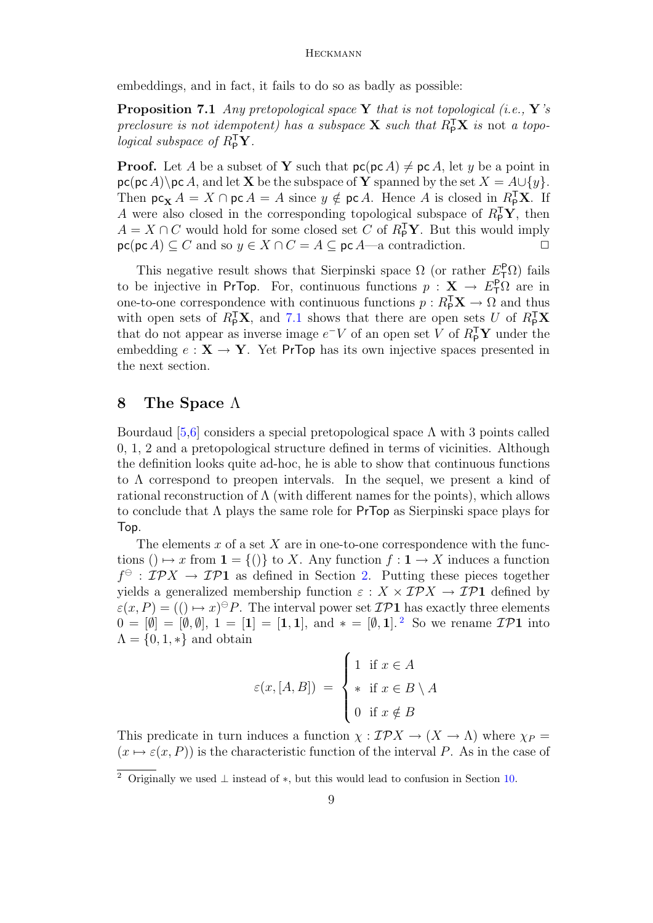embeddings, and in fact, it fails to do so as badly as possible:

<span id="page-8-1"></span>**Proposition 7.1** Any pretopological space Y that is not topological (i.e., Y's preclosure is not idempotent) has a subspace **X** such that  $R_{\text{P}}^{\text{T}}$ **X** is not a topological subspace of  $R_{\mathsf{P}}^{\mathsf{T}} \mathbf{Y}$ .

**Proof.** Let A be a subset of Y such that  $p\mathsf{c}(p\mathsf{c}|A) \neq p\mathsf{c}|A$ , let y be a point in  $\mathsf{pc}(\mathsf{pc}\,A)\$ rc A, and let **X** be the subspace of **Y** spanned by the set  $X = A \cup \{y\}$ . Then  $\mathsf{pc}_{\mathbf{X}} A = X \cap \mathsf{pc} A = A$  since  $y \notin \mathsf{pc} A$ . Hence A is closed in  $R_{\mathsf{P}}^{\mathsf{T}} \mathbf{X}$ . If A were also closed in the corresponding topological subspace of  $R_{\rm P}^{\rm T}$ **Y**, then  $A = X \cap C$  would hold for some closed set C of  $R_{\mathsf{P}}^{\mathsf{T}} \mathbf{Y}$ . But this would imply  $\operatorname{pc}(\operatorname{pc} A) \subseteq C$  and so  $y \in X \cap C = A \subseteq \operatorname{pc} A$ —a contradiction.

This negative result shows that Sierpinski space  $\Omega$  (or rather  $E_{\textsf{T}}^{\textsf{P}} \Omega$ ) fails to be injective in PrTop. For, continuous functions  $p : X \to E_{\mathsf{T}}^{\mathsf{P}} \Omega$  are in one-to-one correspondence with continuous functions  $p: R_{\mathsf{P}}^{\mathsf{T}} \mathbf{X} \to \Omega$  and thus with open sets of  $R_{\rm P}^{\rm T}$ **X**, and [7.1](#page-8-1) shows that there are open sets U of  $R_{\rm P}^{\rm T}$ **X** that do not appear as inverse image  $e^-V$  of an open set V of  $R_{\mathsf{P}}^{\mathsf{T}}\mathbf{Y}$  under the embedding  $e: X \to Y$ . Yet PrTop has its own injective spaces presented in the next section.

### <span id="page-8-0"></span>8 The Space Λ

Bourdaud [\[5](#page-17-0)[,6\]](#page-17-1) considers a special pretopological space  $\Lambda$  with 3 points called 0, 1, 2 and a pretopological structure defined in terms of vicinities. Although the definition looks quite ad-hoc, he is able to show that continuous functions to Λ correspond to preopen intervals. In the sequel, we present a kind of rational reconstruction of  $\Lambda$  (with different names for the points), which allows to conclude that  $\Lambda$  plays the same role for PrTop as Sierpinski space plays for Top.

The elements  $x$  of a set  $X$  are in one-to-one correspondence with the functions ()  $\mapsto x$  from  $\mathbf{1} = \{()\}$  to X. Any function  $f : \mathbf{1} \to X$  induces a function  $f^{\ominus}$ :  $\mathcal{IP}X \to \mathcal{IP}1$  as defined in Section [2.](#page-2-0) Putting these pieces together yields a generalized membership function  $\varepsilon : X \times \mathcal{IP}X \to \mathcal{IP}1$  defined by  $\varepsilon(x, P) = ((\rightarrow x)^\ominus P$ . The interval power set  $\mathcal{IP}1$  has exactly three elements  $0 = [\emptyset] = [\emptyset, \emptyset], 1 = [1] = [1, 1],$  and  $* = [\emptyset, 1].^2$  $* = [\emptyset, 1].^2$  So we rename  $\mathcal{IP}1$  into  $\Lambda = \{0, 1, *\}$  and obtain

$$
\varepsilon(x,[A,B]) = \begin{cases} 1 & \text{if } x \in A \\ * & \text{if } x \in B \setminus A \\ 0 & \text{if } x \notin B \end{cases}
$$

This predicate in turn induces a function  $\chi : \mathcal{IP}X \to (X \to \Lambda)$  where  $\chi_P =$  $(x \mapsto \varepsilon(x, P))$  is the characteristic function of the interval P. As in the case of

<span id="page-8-2"></span><sup>&</sup>lt;sup>2</sup> Originally we used  $\perp$  instead of  $*$ , but this would lead to confusion in Section [10.](#page-13-0)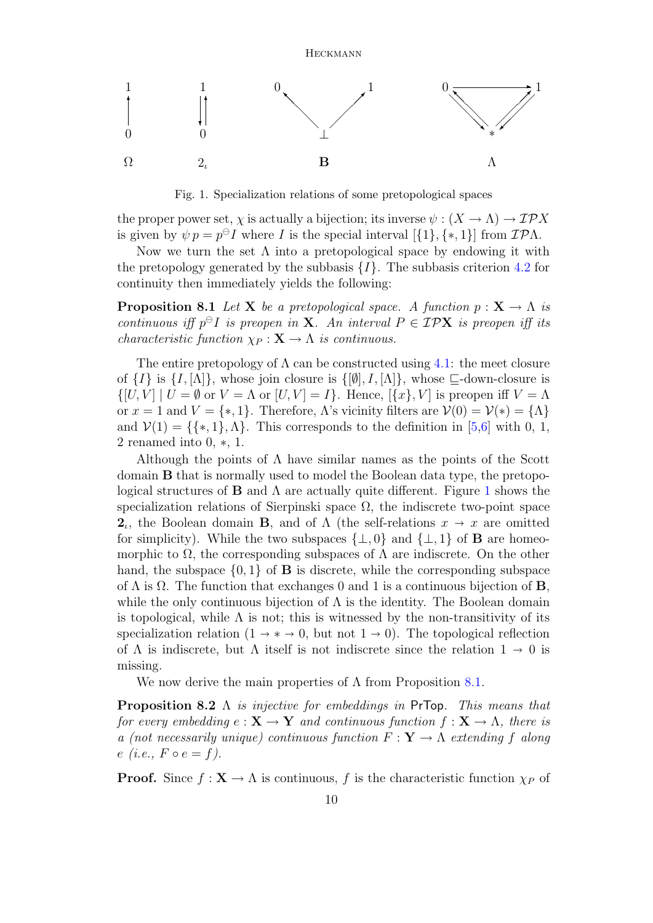

<span id="page-9-0"></span>Fig. 1. Specialization relations of some pretopological spaces

the proper power set,  $\chi$  is actually a bijection; its inverse  $\psi : (X \to \Lambda) \to \mathcal{IP}X$ is given by  $\psi p = p^{\ominus} I$  where I is the special interval  $[\{1\}, \{*, 1\}]$  from  $\mathcal{IP}\Lambda$ .

Now we turn the set  $\Lambda$  into a pretopological space by endowing it with the pretopology generated by the subbasis  $\{I\}$ . The subbasis criterion [4.2](#page-5-1) for continuity then immediately yields the following:

<span id="page-9-1"></span>**Proposition 8.1** Let **X** be a pretopological space. A function  $p: \mathbf{X} \to \Lambda$  is continuous iff  $p^{\ominus}I$  is preopen in **X**. An interval  $P \in \mathcal{IPX}$  is preopen iff its *characteristic function*  $\chi_P : \mathbf{X} \to \Lambda$  *is continuous.* 

The entire pretopology of  $\Lambda$  can be constructed using [4.1:](#page-5-4) the meet closure of  $\{I\}$  is  $\{I, [\Lambda]\}$ , whose join closure is  $\{[\emptyset], I, [\Lambda]\}$ , whose  $\sqsubseteq$ -down-closure is  $\{[U, V] \mid U = \emptyset \text{ or } V = \Lambda \text{ or } [U, V] = I\}.$  Hence,  $[\{x\}, V]$  is preopen iff  $V = \Lambda$ or  $x = 1$  and  $V = \{*, 1\}$ . Therefore,  $\Lambda$ 's vicinity filters are  $\mathcal{V}(0) = \mathcal{V}(*) = {\Lambda}$ and  $V(1) = \{ \{*,1\}, \Lambda \}.$  This corresponds to the definition in [\[5](#page-17-0)[,6\]](#page-17-1) with 0, 1, 2 renamed into 0, ∗, 1.

Although the points of  $\Lambda$  have similar names as the points of the Scott domain B that is normally used to model the Boolean data type, the pretopological structures of **B** and  $\Lambda$  are actually quite different. Figure [1](#page-9-0) shows the specialization relations of Sierpinski space  $\Omega$ , the indiscrete two-point space **2**<sub>*i*</sub>, the Boolean domain **B**, and of  $\Lambda$  (the self-relations  $x \to x$  are omitted for simplicity). While the two subgross  $(1, 0)$  and  $(1, 1)$  of **B** are homogeneous for simplicity). While the two subspaces  $\{\perp, 0\}$  and  $\{\perp, 1\}$  of **B** are homeomorphic to  $\Omega$ , the corresponding subspaces of  $\Lambda$  are indiscrete. On the other hand, the subspace  $\{0,1\}$  of **B** is discrete, while the corresponding subspace of  $\Lambda$  is  $\Omega$ . The function that exchanges 0 and 1 is a continuous bijection of **B**, while the only continuous bijection of  $\Lambda$  is the identity. The Boolean domain is topological, while  $\Lambda$  is not; this is witnessed by the non-transitivity of its specialization relation  $(1 \rightarrow * \rightarrow 0, \text{ but not } 1 \rightarrow 0)$ . The topological reflection of  $\Lambda$  is indiscrete, but  $\Lambda$  itself is not indiscrete since the relation  $1 \to 0$  is missing.

We now derive the main properties of  $\Lambda$  from Proposition [8.1.](#page-9-1)

**Proposition 8.2**  $\Lambda$  is injective for embeddings in PrTop. This means that for every embedding  $e: \mathbf{X} \to \mathbf{Y}$  and continuous function  $f: \mathbf{X} \to \Lambda$ , there is a (not necessarily unique) continuous function  $F: \mathbf{Y} \to \Lambda$  extending f along  $e(i.e., F \circ e = f).$ 

**Proof.** Since  $f: \mathbf{X} \to \Lambda$  is continuous, f is the characteristic function  $\chi_P$  of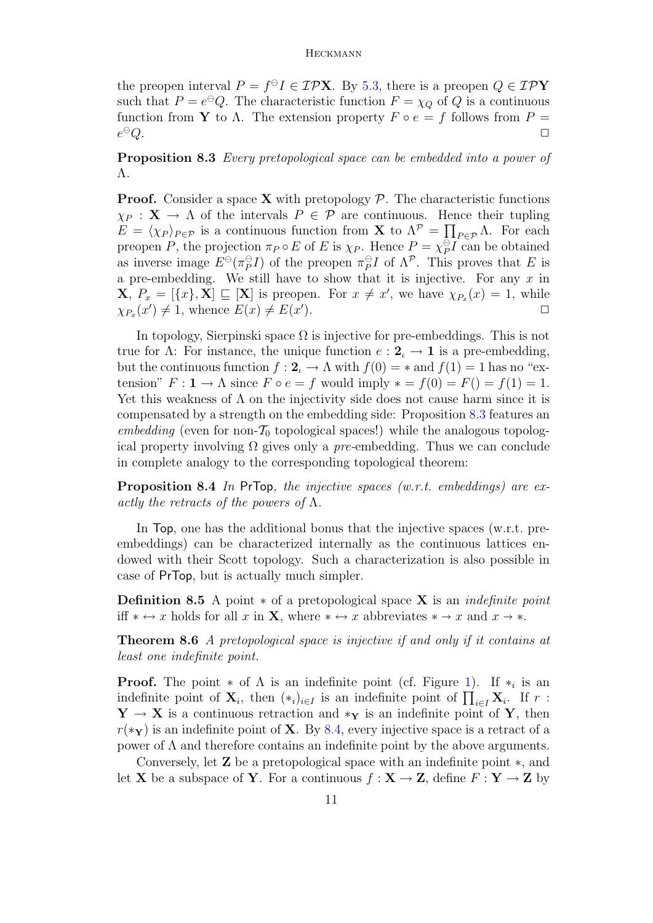the preopen interval  $P = f^{\ominus}I \in \mathcal{IPX}$ . By [5.3,](#page-6-3) there is a preopen  $Q \in \mathcal{IPY}$ such that  $P = e^{\Theta}Q$ . The characteristic function  $F = \chi_Q$  of Q is a continuous function from **Y** to  $\Lambda$ . The extension property  $F \circ e = f$  follows from  $P =$  $e^{\ominus}Q$ .  $\Theta Q$  .  $\qquad \qquad \Box$ 

<span id="page-10-0"></span>Proposition 8.3 Every pretopological space can be embedded into a power of Λ.

**Proof.** Consider a space **X** with pretopology  $P$ . The characteristic functions  $\chi_P$ :  $\mathbf{X} \to \Lambda$  of the intervals  $P \in \mathcal{P}$  are continuous. Hence their tupling  $E = \langle \chi_P \rangle_{P \in \mathcal{P}}$  is a continuous function from **X** to  $\Lambda^{\mathcal{P}} = \prod_{P \in \mathcal{P}} \Lambda$ . For each preopen P, the projection  $\pi_P \circ E$  of E is  $\chi_P$ . Hence  $P = \chi_P^{\ominus}$  $P^{\ominus}I$  can be obtained as inverse image  $E^{\ominus}(\pi_P^{\ominus})$  $_{P}^{\oplus}I)$  of the preopen  $\pi_{P}^{\oplus}$  $P_P^{\ominus}I$  of  $\Lambda^{\mathcal{P}}$ . This proves that E is a pre-embedding. We still have to show that it is injective. For any  $x$  in  $\mathbf{X}, P_x = [\{x\}, \mathbf{X}] \sqsubseteq [\mathbf{X}]$  is preopen. For  $x \neq x'$ , we have  $\chi_{P_x}(x) = 1$ , while  $\chi_{P_x}(x') \neq 1$ , whence  $E(x) \neq E(x')$ ).  $\qquad \qquad \Box$ 

In topology, Sierpinski space  $\Omega$  is injective for pre-embeddings. This is not true for Λ: For instance, the unique function  $e: 2_\iota \to 1$  is a pre-embedding, but the continuous function  $f: 2 \rightarrow \Lambda$  with  $f(0) = *$  and  $f(1) = 1$  has no "extension"  $F: \mathbf{1} \to \Lambda$  since  $F \circ e = f$  would imply  $* = f(0) = F() = f(1) = 1$ . Yet this weakness of  $\Lambda$  on the injectivity side does not cause harm since it is compensated by a strength on the embedding side: Proposition [8.3](#page-10-0) features an embedding (even for non- $\mathcal{T}_0$  topological spaces!) while the analogous topological property involving  $\Omega$  gives only a pre-embedding. Thus we can conclude in complete analogy to the corresponding topological theorem:

<span id="page-10-1"></span>**Proposition 8.4** In PrTop, the injective spaces (w.r.t. embeddings) are exactly the retracts of the powers of  $\Lambda$ .

In Top, one has the additional bonus that the injective spaces (w.r.t. preembeddings) can be characterized internally as the continuous lattices endowed with their Scott topology. Such a characterization is also possible in case of PrTop, but is actually much simpler.

**Definition 8.5** A point  $*$  of a pretopological space **X** is an *indefinite point* iff  $* \leftrightarrow x$  holds for all x in **X**, where  $* \leftrightarrow x$  abbreviates  $* \rightarrow x$  and  $x \rightarrow *$ .

<span id="page-10-2"></span>Theorem 8.6 A pretopological space is injective if and only if it contains at least one indefinite point.

**Proof.** The point  $*$  of  $\Lambda$  is an indefinite point (cf. Figure [1\)](#page-9-0). If  $*_{i}$  is an indefinite point of  $\mathbf{X}_i$ , then  $(*_i)_{i\in I}$  is an indefinite point of  $\prod_{i\in I} \mathbf{X}_i$ . If  $r$ :  $Y \rightarrow X$  is a continuous retraction and  $*_{Y}$  is an indefinite point of Y, then  $r(*<sub>Y</sub>)$  is an indefinite point of **X**. By [8.4,](#page-10-1) every injective space is a retract of a power of Λ and therefore contains an indefinite point by the above arguments.

Conversely, let Z be a pretopological space with an indefinite point ∗, and let **X** be a subspace of **Y**. For a continuous  $f : \mathbf{X} \to \mathbf{Z}$ , define  $F : \mathbf{Y} \to \mathbf{Z}$  by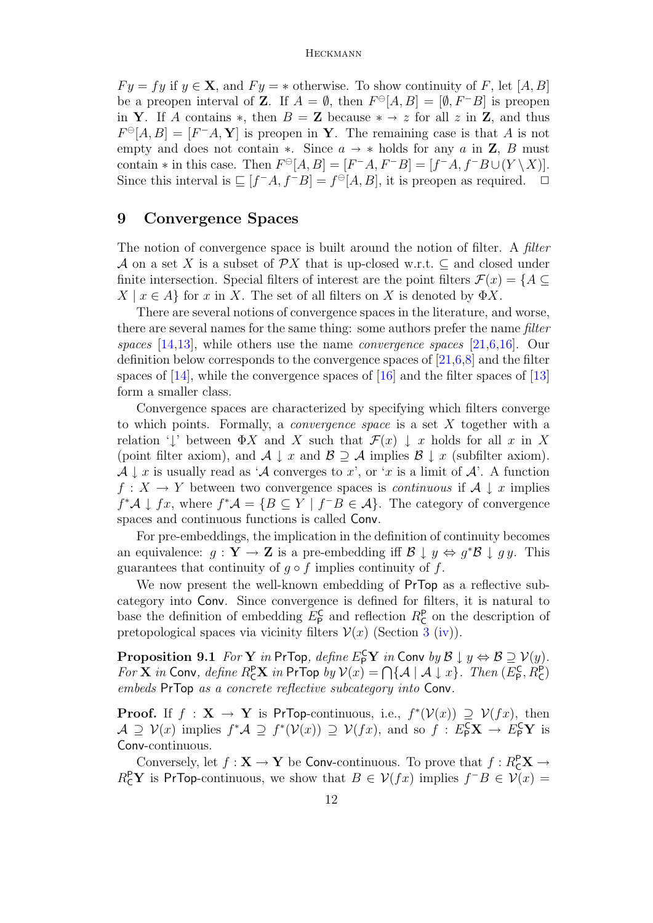$F y = f y$  if  $y \in X$ , and  $F y = *$  otherwise. To show continuity of F, let [A, B] be a preopen interval of **Z**. If  $A = \emptyset$ , then  $F \circ [A, B] = [\emptyset, F - B]$  is preopen in Y. If A contains \*, then  $B = \mathbf{Z}$  because \*  $\rightarrow z$  for all z in Z, and thus  $F^{\ominus}[A, B] = [F^{-}A, Y]$  is preopen in Y. The remaining case is that A is not empty and does not contain ∗. Since  $a \rightarrow *$  holds for any a in **Z**, B must contain  $*$  in this case. Then  $F^{\ominus}[A, B] = [F^{-}A, F^{-}B] = [f^{-}A, f^{-}B \cup (Y \setminus X)].$ Since this interval is  $\subseteq [f^-A, f^-B] = f^{\ominus}[A, B]$ , it is preopen as required.  $\Box$ 

### <span id="page-11-0"></span>9 Convergence Spaces

The notion of convergence space is built around the notion of filter. A filter A on a set X is a subset of  $\mathcal{P}X$  that is up-closed w.r.t.  $\subseteq$  and closed under finite intersection. Special filters of interest are the point filters  $\mathcal{F}(x) = \{A \subseteq$  $X \mid x \in A$  for x in X. The set of all filters on X is denoted by  $\Phi X$ .

There are several notions of convergence spaces in the literature, and worse, there are several names for the same thing: some authors prefer the name filter spaces  $[14,13]$  $[14,13]$ , while others use the name *convergence spaces*  $[21,6,16]$  $[21,6,16]$  $[21,6,16]$ . Our definition below corresponds to the convergence spaces of [\[21](#page-18-10)[,6](#page-17-1)[,8\]](#page-18-4) and the filter spaces of [\[14\]](#page-18-8), while the convergence spaces of [\[16\]](#page-18-2) and the filter spaces of [\[13\]](#page-18-9) form a smaller class.

Convergence spaces are characterized by specifying which filters converge to which points. Formally, a convergence space is a set X together with a relation ' $\downarrow$ ' between  $\Phi X$  and X such that  $\mathcal{F}(x) \downarrow x$  holds for all x in X (point filter axiom), and  $\mathcal{A} \downarrow x$  and  $\mathcal{B} \supseteq \mathcal{A}$  implies  $\mathcal{B} \downarrow x$  (subfilter axiom).  $\mathcal{A} \downarrow x$  is usually read as ' $\mathcal{A}$  converges to x', or 'x is a limit of  $\mathcal{A}'$ . A function  $f: X \to Y$  between two convergence spaces is *continuous* if  $A \downarrow x$  implies  $f^*\mathcal{A} \downarrow fx$ , where  $f^*\mathcal{A} = \{B \subseteq Y \mid f^{-}B \in \mathcal{A}\}.$  The category of convergence spaces and continuous functions is called Conv.

For pre-embeddings, the implication in the definition of continuity becomes an equivalence:  $g: \mathbf{Y} \to \mathbf{Z}$  is a pre-embedding iff  $\mathcal{B} \downarrow y \Leftrightarrow g^* \mathcal{B} \downarrow gy$ . This guarantees that continuity of  $g \circ f$  implies continuity of f.

We now present the well-known embedding of **PrTop** as a reflective subcategory into Conv. Since convergence is defined for filters, it is natural to base the definition of embedding  $E_{\rm P}^{\rm C}$  and reflection  $R_{\rm C}^{\rm P}$  on the description of pretopological spaces via vicinity filters  $\mathcal{V}(x)$  (Section [3](#page-3-0) [\(iv\)](#page-3-2)).

<span id="page-11-1"></span>**Proposition 9.1** For  $\mathbf{Y}$  in PrTop, define  $E_{\mathsf{P}}^{\mathsf{C}} \mathbf{Y}$  in Conv by  $\mathcal{B} \downarrow y \Leftrightarrow \mathcal{B} \supseteq \mathcal{V}(y)$ . For **X** in Conv, define  $R_{\mathsf{C}}^{\mathsf{P}}\mathbf{X}$  in PrTop by  $\mathcal{V}(x) = \bigcap \{ \mathcal{A} \mid \mathcal{A} \downarrow x \}$ . Then  $(E_{\mathsf{P}}^{\mathsf{C}}, R_{\mathsf{C}}^{\mathsf{P}})$ embeds PrTop as a concrete reflective subcategory into Conv.

**Proof.** If  $f : \mathbf{X} \to \mathbf{Y}$  is PrTop-continuous, i.e.,  $f^*(\mathcal{V}(x)) \supseteq \mathcal{V}(fx)$ , then  $\mathcal{A} \supseteq \mathcal{V}(x)$  implies  $f^*\mathcal{A} \supseteq f^*(\mathcal{V}(x)) \supseteq \mathcal{V}(fx)$ , and so  $f: E^{\mathsf{C}}_{\mathsf{P}}\mathbf{X} \to E^{\mathsf{C}}_{\mathsf{P}}\mathbf{Y}$  is Conv-continuous.

Conversely, let  $f: \mathbf{X} \to \mathbf{Y}$  be Conv-continuous. To prove that  $f: R_{\mathbf{C}}^{\mathbf{P}} \mathbf{X} \to$  $R_{\mathsf{C}}^{\mathsf{P}} \mathbf{Y}$  is PrTop-continuous, we show that  $B \in \mathcal{V}(fx)$  implies  $f^{-}B \in \mathcal{V}(x)$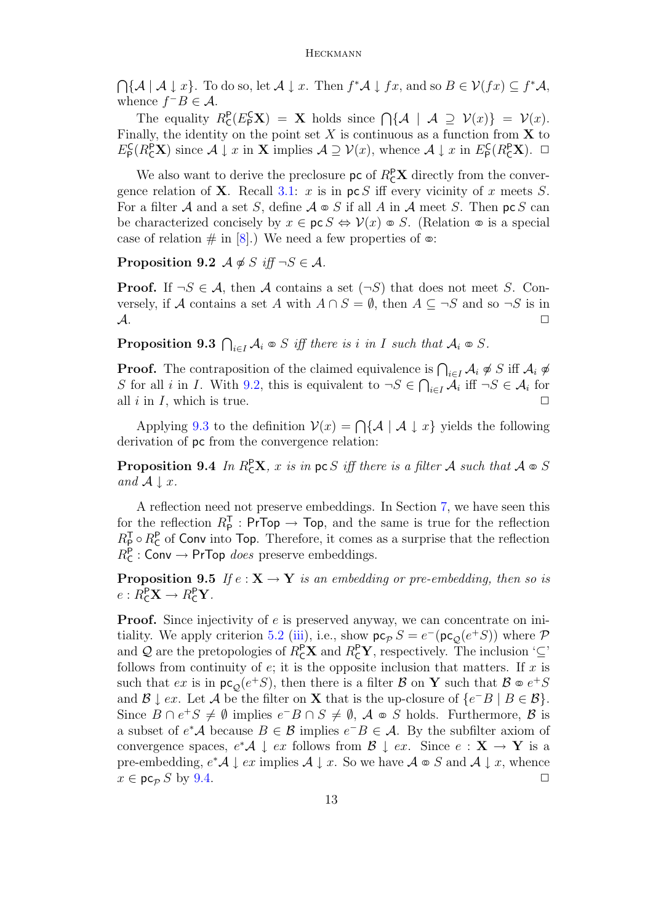$\bigcap \{ \mathcal{A} \mid \mathcal{A} \downarrow x \}.$  To do so, let  $\mathcal{A} \downarrow x$ . Then  $f^* \mathcal{A} \downarrow fx$ , and so  $B \in \mathcal{V}(fx) \subseteq f^* \mathcal{A}$ , whence  $f^{-}B \in \mathcal{A}$ .

The equality  $R_{\mathsf{C}}^{\mathsf{P}}(E_{\mathsf{P}}^{\mathsf{C}}\mathbf{X}) = \mathbf{X}$  holds since  $\bigcap \{\mathcal{A} \mid \mathcal{A} \supseteq \mathcal{V}(x)\} = \mathcal{V}(x)$ . Finally, the identity on the point set  $X$  is continuous as a function from  $X$  to  $E_{\mathsf{P}}^{\mathsf{C}}(R_{\mathsf{C}}^{\mathsf{P}}\mathbf{X})$  since  $\mathcal{A} \downarrow x$  in  $\mathbf{X}$  implies  $\mathcal{A} \supseteq \mathcal{V}(x)$ , whence  $\mathcal{A} \downarrow x$  in  $E_{\mathsf{P}}^{\mathsf{C}}(R_{\mathsf{C}}^{\mathsf{P}}\mathbf{X})$ .  $\Box$ 

We also want to derive the preclosure  $\mathsf{pc}$  of  $R_{\mathsf{C}}^{\mathsf{P}}\mathbf{X}$  directly from the convergence relation of **X**. Recall [3.1:](#page-4-3) x is in  $\mathsf{pc} S$  iff every vicinity of x meets S. For a filter A and a set S, define  $A \otimes S$  if all A in A meet S. Then pc S can be characterized concisely by  $x \in \text{pc } S \Leftrightarrow \mathcal{V}(x) \otimes S$ . (Relation  $\infty$  is a special case of relation  $\#$  in [\[8\]](#page-18-4).) We need a few properties of  $\infty$ :

<span id="page-12-0"></span>Proposition 9.2  $\mathcal{A} \notin S$  iff  $\neg S \in \mathcal{A}$ .

**Proof.** If  $\neg S \in \mathcal{A}$ , then A contains a set  $(\neg S)$  that does not meet S. Conversely, if A contains a set A with  $A \cap S = \emptyset$ , then  $A \subseteq \neg S$  and so  $\neg S$  is in  $\mathcal A$ .

<span id="page-12-1"></span>**Proposition 9.3**  $\bigcap_{i \in I} A_i \otimes S$  iff there is i in I such that  $A_i \otimes S$ .

**Proof.** The contraposition of the claimed equivalence is  $\bigcap_{i\in I} A_i \notin S$  iff  $A_i \notin S$ S for all i in I. With [9.2,](#page-12-0) this is equivalent to  $\neg S \in \bigcap_{i \in I} A_i$  iff  $\neg S \in A_i$  for all i in I, which is true.  $\Box$ 

Applying [9.3](#page-12-1) to the definition  $V(x) = \bigcap \{ A \mid A \downarrow x \}$  yields the following derivation of pc from the convergence relation:

<span id="page-12-2"></span>**Proposition 9.4** In  $R_{\text{C}}^{\text{P}}\mathbf{X}$ , x is in pc S iff there is a filter A such that  $A \text{ } \infty$  S and  $A \downarrow x$ .

A reflection need not preserve embeddings. In Section [7,](#page-7-0) we have seen this for the reflection  $R_{\rm P}^{\rm T}$ : PrTop  $\rightarrow$  Top, and the same is true for the reflection  $R_{\rm P}^{\rm T} \circ R_{\rm C}^{\rm P}$  of Conv into Top. Therefore, it comes as a surprise that the reflection  $R_{\mathsf{C}}^{\mathsf{P}}$ : Conv  $\rightarrow$  PrTop *does* preserve embeddings.

<span id="page-12-3"></span>**Proposition 9.5** If  $e: \mathbf{X} \to \mathbf{Y}$  is an embedding or pre-embedding, then so is  $e: R_{\mathsf{C}}^{\mathsf{P}} \mathbf{X} \to R_{\mathsf{C}}^{\mathsf{P}} \mathbf{Y}.$ 

**Proof.** Since injectivity of e is preserved anyway, we can concentrate on ini-tiality. We apply criterion [5.2](#page-5-5) [\(iii\)](#page-6-2), i.e., show  $p c_p S = e^-(p c_Q(e^+S))$  where  $\mathcal P$ and Q are the pretopologies of  $R_{\mathsf{C}}^{\mathsf{P}}\mathbf{X}$  and  $R_{\mathsf{C}}^{\mathsf{P}}\mathbf{Y}$ , respectively. The inclusion ' $\subseteq$ ' follows from continuity of  $e$ ; it is the opposite inclusion that matters. If  $x$  is such that  $ex$  is in  $\mathsf{pc}_{\mathcal{Q}}(e^+S)$ , then there is a filter  $\mathcal{B}$  on  $\mathbf Y$  such that  $\mathcal{B} \circledast e^+S$ and  $\mathcal{B} \downarrow ex$ . Let  $\mathcal{A}$  be the filter on **X** that is the up-closure of  $\{e^{-}B \mid B \in \mathcal{B}\}\.$ Since  $B \cap e^+S \neq \emptyset$  implies  $e^-B \cap S \neq \emptyset$ ,  $A \otimes S$  holds. Furthermore,  $\emptyset$  is a subset of  $e^*\mathcal{A}$  because  $B \in \mathcal{B}$  implies  $e^-B \in \mathcal{A}$ . By the subfilter axiom of convergence spaces,  $e^*\mathcal{A} \downarrow ex$  follows from  $\mathcal{B} \downarrow ex$ . Since  $e : \mathbf{X} \to \mathbf{Y}$  is a pre-embedding,  $e^*\mathcal{A} \downarrow ex$  implies  $\mathcal{A} \downarrow x$ . So we have  $\mathcal{A} \otimes S$  and  $\mathcal{A} \downarrow x$ , whence  $x \in \operatorname{pc}_P S$  by [9.4.](#page-12-2)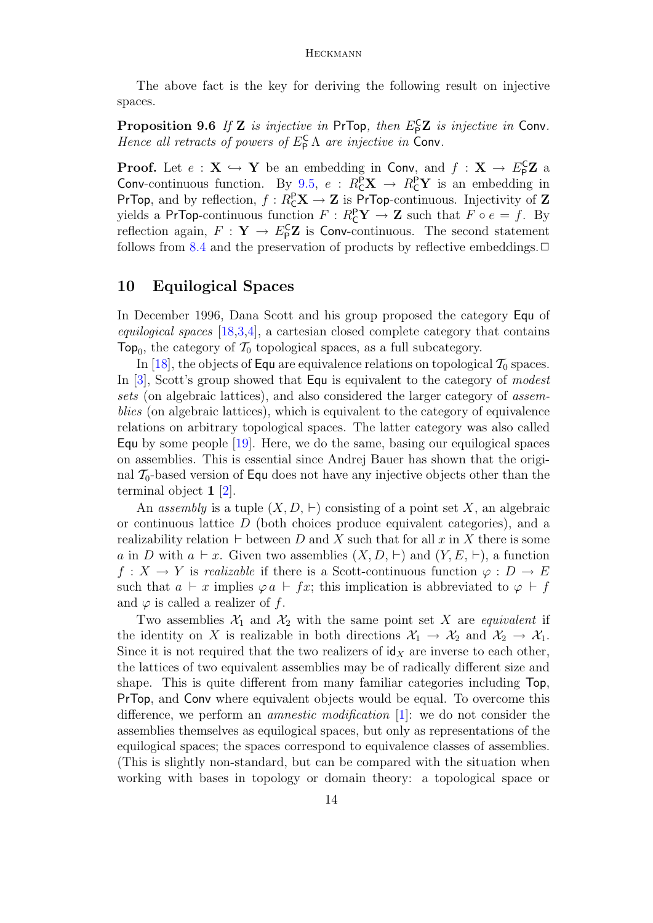The above fact is the key for deriving the following result on injective spaces.

**Proposition 9.6** If **Z** is injective in PrTop, then  $E_P^CZ$  is injective in Conv. Hence all retracts of powers of  $E_{\mathsf{P}}^{\mathsf{C}} \Lambda$  are injective in Conv.

**Proof.** Let  $e: \mathbf{X} \hookrightarrow \mathbf{Y}$  be an embedding in Conv, and  $f: \mathbf{X} \to E_{\mathsf{P}}^{\mathsf{C}} \mathbf{Z}$  a Conv-continuous function. By [9.5,](#page-12-3)  $e: R_{\mathsf{C}}^{\mathsf{P}} \mathbf{X} \to R_{\mathsf{C}}^{\mathsf{P}} \mathbf{Y}$  is an embedding in PrTop, and by reflection,  $f: R_{\mathbb{C}}^{\mathbb{P}} \mathbf{X} \to \mathbf{Z}$  is PrTop-continuous. Injectivity of  $\mathbf{Z}$ yields a PrTop-continuous function  $F: R_{\mathsf{C}}^{\mathsf{P}} \mathbf{Y} \to \mathbf{Z}$  such that  $F \circ e = f$ . By reflection again,  $F: \mathbf{Y} \to E_{\mathsf{P}}^{\mathsf{C}} \mathbf{Z}$  is Conv-continuous. The second statement follows from [8.4](#page-10-1) and the preservation of products by reflective embeddings.  $\Box$ 

### <span id="page-13-0"></span>10 Equilogical Spaces

In December 1996, Dana Scott and his group proposed the category Equ of equilogical spaces [\[18](#page-18-11)[,3,](#page-17-4)[4\]](#page-17-5), a cartesian closed complete category that contains Top<sub>0</sub>, the category of  $\mathcal{T}_0$  topological spaces, as a full subcategory.

In [\[18\]](#page-18-11), the objects of Equ are equivalence relations on topological  $\mathcal{T}_0$  spaces. In [\[3\]](#page-17-4), Scott's group showed that **Equ** is equivalent to the category of modest sets (on algebraic lattices), and also considered the larger category of assemblies (on algebraic lattices), which is equivalent to the category of equivalence relations on arbitrary topological spaces. The latter category was also called Equ by some people [\[19\]](#page-18-6). Here, we do the same, basing our equilogical spaces on assemblies. This is essential since Andrej Bauer has shown that the original  $\mathcal{T}_0$ -based version of Equ does not have any injective objects other than the terminal object 1 [\[2\]](#page-17-2).

An assembly is a tuple  $(X, D, \vdash)$  consisting of a point set X, an algebraic or continuous lattice  $D$  (both choices produce equivalent categories), and a realizability relation  $\vdash$  between D and X such that for all x in X there is some a in D with  $a \vdash x$ . Given two assemblies  $(X, D, \vdash)$  and  $(Y, E, \vdash)$ , a function  $f: X \to Y$  is *realizable* if there is a Scott-continuous function  $\varphi: D \to E$ such that  $a \vdash x$  implies  $\varphi a \vdash fx$ ; this implication is abbreviated to  $\varphi \vdash f$ and  $\varphi$  is called a realizer of f.

Two assemblies  $\mathcal{X}_1$  and  $\mathcal{X}_2$  with the same point set X are *equivalent* if the identity on X is realizable in both directions  $\mathcal{X}_1 \to \mathcal{X}_2$  and  $\mathcal{X}_2 \to \mathcal{X}_1$ . Since it is not required that the two realizers of  $\mathsf{id}_X$  are inverse to each other, the lattices of two equivalent assemblies may be of radically different size and shape. This is quite different from many familiar categories including Top, PrTop, and Conv where equivalent objects would be equal. To overcome this difference, we perform an *amnestic modification* [\[1\]](#page-17-3): we do not consider the assemblies themselves as equilogical spaces, but only as representations of the equilogical spaces; the spaces correspond to equivalence classes of assemblies. (This is slightly non-standard, but can be compared with the situation when working with bases in topology or domain theory: a topological space or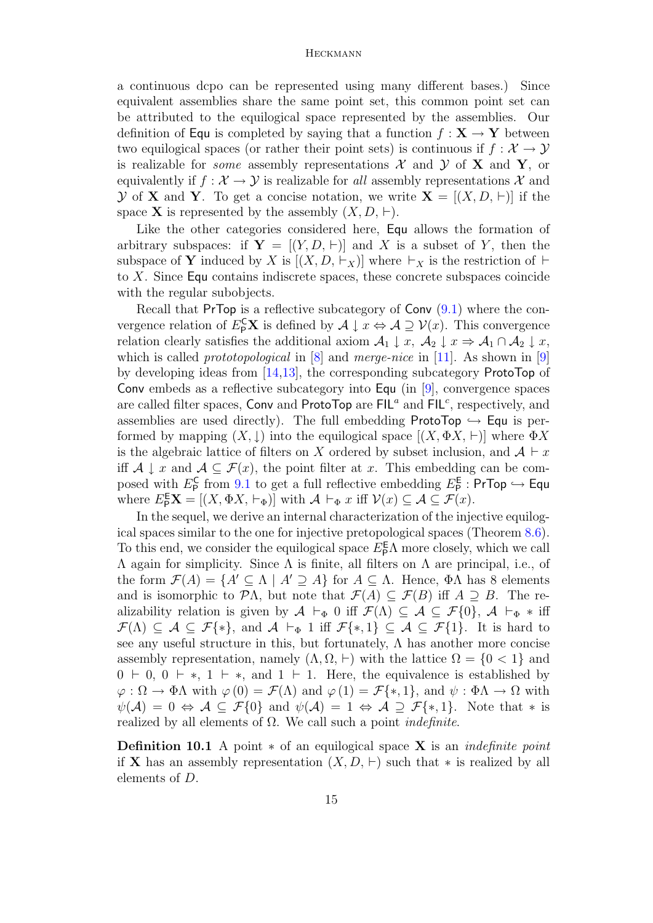a continuous dcpo can be represented using many different bases.) Since equivalent assemblies share the same point set, this common point set can be attributed to the equilogical space represented by the assemblies. Our definition of Equ is completed by saying that a function  $f: X \to Y$  between two equilogical spaces (or rather their point sets) is continuous if  $f: \mathcal{X} \to \mathcal{Y}$ is realizable for *some* assembly representations  $\mathcal{X}$  and  $\mathcal{Y}$  of **X** and **Y**, or equivalently if  $f : \mathcal{X} \to \mathcal{Y}$  is realizable for all assembly representations  $\mathcal{X}$  and  $\mathcal Y$  of **X** and **Y**. To get a concise notation, we write  $\mathbf X = [(X, D, \vdash)]$  if the space **X** is represented by the assembly  $(X, D, \vdash)$ .

Like the other categories considered here, Equ allows the formation of arbitrary subspaces: if  $Y = [(Y, D, \vdash)]$  and X is a subset of Y, then the subspace of Y induced by X is  $[(X, D, \vdash_X)]$  where  $\vdash_X$  is the restriction of  $\vdash$ to X. Since Equ contains indiscrete spaces, these concrete subspaces coincide with the regular subobjects.

Recall that PrTop is a reflective subcategory of  $Conv(9.1)$  $Conv(9.1)$  where the convergence relation of  $E_P^{\mathsf{C}}\mathbf{X}$  is defined by  $\mathcal{A} \downarrow x \Leftrightarrow \mathcal{A} \supseteq \mathcal{V}(x)$ . This convergence relation clearly satisfies the additional axiom  $\mathcal{A}_1 \downarrow x$ ,  $\mathcal{A}_2 \downarrow x \Rightarrow \mathcal{A}_1 \cap \mathcal{A}_2 \downarrow x$ , which is called *prototopological* in  $[8]$  and *merge-nice* in [\[11\]](#page-18-12). As shown in [\[9\]](#page-18-13) by developing ideas from [\[14,](#page-18-8)[13\]](#page-18-9), the corresponding subcategory ProtoTop of Conv embeds as a reflective subcategory into Equ (in [\[9\]](#page-18-13), convergence spaces are called filter spaces, Conv and ProtoTop are  $FIL^a$  and  $FIL^c$ , respectively, and assemblies are used directly). The full embedding ProtoTop  $\hookrightarrow$  Equ is performed by mapping  $(X, \downarrow)$  into the equilogical space  $[(X, \Phi X, \vdash)]$  where  $\Phi X$ is the algebraic lattice of filters on X ordered by subset inclusion, and  $\mathcal{A} \vdash x$ iff  $A \downarrow x$  and  $A \subseteq \mathcal{F}(x)$ , the point filter at x. This embedding can be composed with  $E_{\mathsf{P}}^{\mathsf{C}}$  from [9.1](#page-11-1) to get a full reflective embedding  $E_{\mathsf{P}}^{\mathsf{E}}$ : PrTop  $\hookrightarrow$  Equ where  $E_{\mathsf{P}}^{\mathsf{E}} \mathbf{X} = [(X, \Phi X, \vdash_{\Phi})]$  with  $\mathcal{A} \vdash_{\Phi} x$  iff  $\mathcal{V}(x) \subseteq \mathcal{A} \subseteq \mathcal{F}(x)$ .

In the sequel, we derive an internal characterization of the injective equilogical spaces similar to the one for injective pretopological spaces (Theorem [8.6\)](#page-10-2). To this end, we consider the equilogical space  $E_{\mathsf{P}}^{\mathsf{E}} \Lambda$  more closely, which we call Λ again for simplicity. Since Λ is finite, all filters on Λ are principal, i.e., of the form  $\mathcal{F}(A) = \{A' \subseteq \Lambda \mid A' \supseteq A\}$  for  $A \subseteq \Lambda$ . Hence,  $\Phi \Lambda$  has 8 elements and is isomorphic to  $\mathcal{P}\Lambda$ , but note that  $\mathcal{F}(A) \subseteq \mathcal{F}(B)$  iff  $A \supseteq B$ . The realizability relation is given by  $A \vdash_{\Phi} 0$  iff  $\mathcal{F}(\Lambda) \subseteq A \subseteq \mathcal{F}\{0\}, \ A \vdash_{\Phi} * \text{ iff }$  $\mathcal{F}(\Lambda) \subseteq \mathcal{A} \subseteq \mathcal{F}\{*\},\$ and  $\mathcal{A} \vdash_{\Phi} 1$  iff  $\mathcal{F}\{*,1\} \subseteq \mathcal{A} \subseteq \mathcal{F}\{1\}.$  It is hard to see any useful structure in this, but fortunately,  $\Lambda$  has another more concise assembly representation, namely  $(\Lambda, \Omega, \vdash)$  with the lattice  $\Omega = \{0, 1\}$  and  $0 \vdash 0, 0 \vdash *$ ,  $1 \vdash *$ , and  $1 \vdash 1$ . Here, the equivalence is established by  $\varphi : \Omega \to \Phi \Lambda$  with  $\varphi(0) = \mathcal{F}(\Lambda)$  and  $\varphi(1) = \mathcal{F}\{*,1\}$ , and  $\psi : \Phi \Lambda \to \Omega$  with  $\psi(\mathcal{A}) = 0 \Leftrightarrow \mathcal{A} \subseteq \mathcal{F}\{0\}$  and  $\psi(\mathcal{A}) = 1 \Leftrightarrow \mathcal{A} \supseteq \mathcal{F}\{*,1\}.$  Note that  $*$  is realized by all elements of  $\Omega$ . We call such a point *indefinite*.

**Definition 10.1** A point  $*$  of an equilogical space **X** is an *indefinite point* if X has an assembly representation  $(X, D, \vdash)$  such that  $*$  is realized by all elements of D.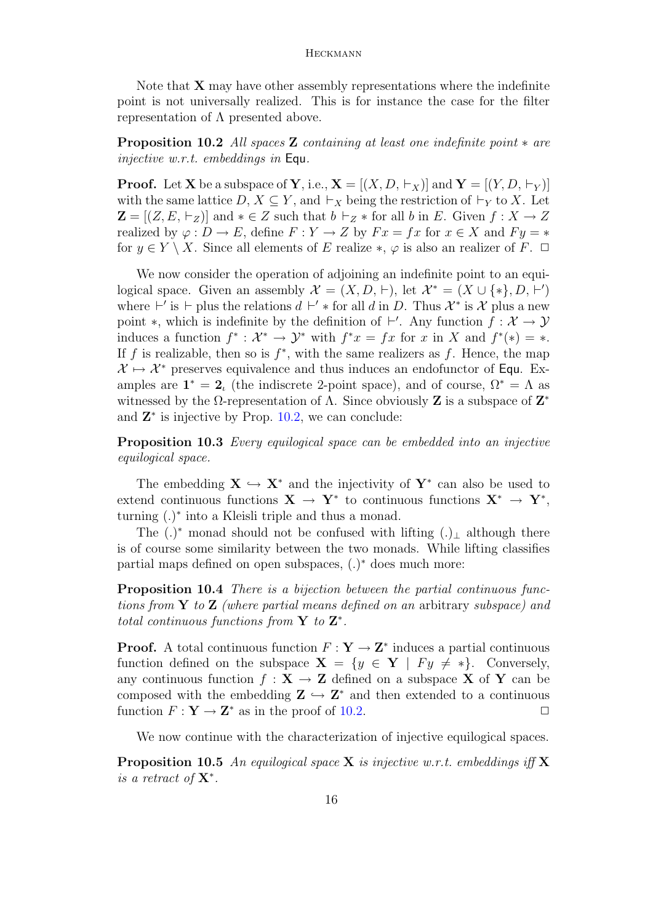Note that  $X$  may have other assembly representations where the indefinite point is not universally realized. This is for instance the case for the filter representation of  $\Lambda$  presented above.

<span id="page-15-0"></span>Proposition 10.2 All spaces Z containing at least one indefinite point ∗ are injective w.r.t. embeddings in Equ.

**Proof.** Let **X** be a subspace of **Y**, i.e.,  $\mathbf{X} = [(X, D, \vdash_X)]$  and  $\mathbf{Y} = [(Y, D, \vdash_Y)]$ with the same lattice  $D, X \subseteq Y$ , and  $\vdash_X$  being the restriction of  $\vdash_Y$  to X. Let  $\mathbf{Z} = \{ (Z, E, \vdash_Z) \}$  and  $* \in Z$  such that  $b \vdash_Z *$  for all b in E. Given  $f : X \to Z$ realized by  $\varphi : D \to E$ , define  $F : Y \to Z$  by  $Fx = fx$  for  $x \in X$  and  $F_y = *$ for  $y \in Y \setminus X$ . Since all elements of E realize  $*, \varphi$  is also an realizer of F.  $\Box$ 

We now consider the operation of adjoining an indefinite point to an equilogical space. Given an assembly  $\mathcal{X} = (X, D, \vdash)$ , let  $\mathcal{X}^* = (X \cup \{*\}, D, \vdash')$ where  $\vdash'$  is  $\vdash$  plus the relations  $d \vdash' *$  for all d in D. Thus  $\mathcal{X}^*$  is  $\mathcal{X}$  plus a new point  $\ast$ , which is indefinite by the definition of  $\vdash'$ . Any function  $f : \mathcal{X} \to \mathcal{Y}$ induces a function  $f^*: \mathcal{X}^* \to \mathcal{Y}^*$  with  $f^*x = fx$  for x in X and  $f^*(*) = *$ . If f is realizable, then so is  $f^*$ , with the same realizers as f. Hence, the map  $\mathcal{X} \mapsto \mathcal{X}^*$  preserves equivalence and thus induces an endofunctor of Equ. Examples are  $\mathbf{1}^* = \mathbf{2}_i$  (the indiscrete 2-point space), and of course,  $\Omega^* = \Lambda$  as witnessed by the  $\Omega$ -representation of  $\Lambda$ . Since obviously **Z** is a subspace of  $\mathbf{Z}^*$ and  $\mathbf{Z}^*$  is injective by Prop. [10.2,](#page-15-0) we can conclude:

**Proposition 10.3** Every equilogical space can be embedded into an injective equilogical space.

The embedding  $X \hookrightarrow X^*$  and the injectivity of  $Y^*$  can also be used to extend continuous functions  $X \to Y^*$  to continuous functions  $X^* \to Y^*$ , turning (.)<sup>∗</sup> into a Kleisli triple and thus a monad.

The  $(.)^*$  monad should not be confused with lifting  $(.)_{\perp}$  although there is of course some similarity between the two monads. While lifting classifies partial maps defined on open subspaces,  $(.)^*$  does much more:

Proposition 10.4 There is a bijection between the partial continuous functions from  $\bf{Y}$  to  $\bf{Z}$  (where partial means defined on an arbitrary subspace) and total continuous functions from  $Y$  to  $Z^*$ .

**Proof.** A total continuous function  $F: \mathbf{Y} \to \mathbf{Z}^*$  induces a partial continuous function defined on the subspace  $X = \{y \in Y \mid Fy \neq * \}.$  Conversely, any continuous function  $f : X \to Z$  defined on a subspace X of Y can be composed with the embedding  $\mathbf{Z} \hookrightarrow \mathbf{Z}^*$  and then extended to a continuous function  $F: \mathbf{Y} \to \mathbf{Z}^*$  as in the proof of [10.2.](#page-15-0)

We now continue with the characterization of injective equilogical spaces.

<span id="page-15-1"></span>**Proposition 10.5** An equilogical space **X** is injective w.r.t. embeddings iff **X** is a retract of  $X^*$ .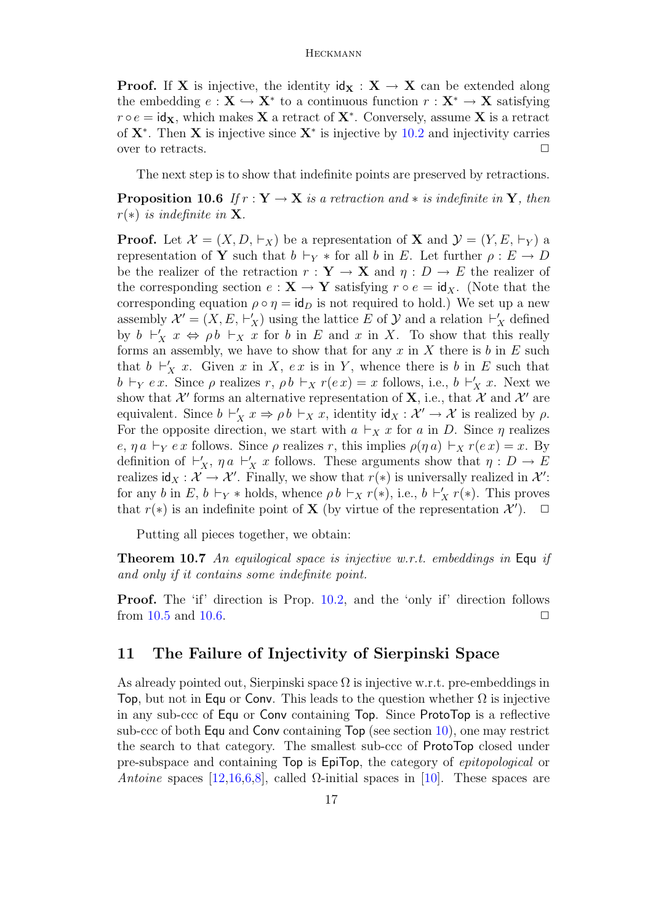**Proof.** If **X** is injective, the identity  $\mathbf{d}_X : \mathbf{X} \to \mathbf{X}$  can be extended along the embedding  $e: \mathbf{X} \hookrightarrow \mathbf{X}^*$  to a continuous function  $r: \mathbf{X}^* \to \mathbf{X}$  satisfying  $r \circ e = id_{\mathbf{X}}$ , which makes **X** a retract of **X**<sup>\*</sup>. Conversely, assume **X** is a retract of  $X^*$ . Then X is injective since  $X^*$  is injective by [10.2](#page-15-0) and injectivity carries over to retracts.  $\Box$ 

The next step is to show that indefinite points are preserved by retractions.

<span id="page-16-1"></span>**Proposition 10.6** If  $r : Y \to X$  is a retraction and  $*$  is indefinite in Y, then  $r(*)$  is indefinite in **X**.

**Proof.** Let  $\mathcal{X} = (X, D, \vdash_X)$  be a representation of **X** and  $\mathcal{Y} = (Y, E, \vdash_Y)$  a representation of Y such that  $b \vdash_Y *$  for all b in E. Let further  $\rho : E \to D$ be the realizer of the retraction  $r : Y \to X$  and  $\eta : D \to E$  the realizer of the corresponding section  $e: \mathbf{X} \to \mathbf{Y}$  satisfying  $r \circ e = id_X$ . (Note that the corresponding equation  $\rho \circ \eta = id_D$  is not required to hold.) We set up a new assembly  $\mathcal{X}' = (X, E, \vdash'_X)$  using the lattice E of  $\mathcal Y$  and a relation  $\vdash'_X$  defined by  $b \vdash'_{X} x \Leftrightarrow \rho b \vdash_{X} x$  for b in E and x in X. To show that this really forms an assembly, we have to show that for any  $x$  in  $X$  there is  $b$  in  $E$  such that  $b \vdash'_{X} x$ . Given x in X, ex is in Y, whence there is b in E such that  $b \vdash_Y e x$ . Since  $\rho$  realizes  $r, \rho b \vdash_X r(e x) = x$  follows, i.e.,  $b \vdash'_X x$ . Next we show that  $\mathcal{X}'$  forms an alternative representation of **X**, i.e., that  $\mathcal{X}$  and  $\mathcal{X}'$  are equivalent. Since  $b \vdash'_{X} x \Rightarrow \rho b \vdash_{X} x$ , identity  $\mathsf{id}_{X} : \mathcal{X}' \to \mathcal{X}$  is realized by  $\rho$ . For the opposite direction, we start with  $a \vdash_X x$  for a in D. Since  $\eta$  realizes e,  $\eta a \vdash_Y e x$  follows. Since  $\rho$  realizes r, this implies  $\rho(\eta a) \vdash_X r(e x) = x$ . By definition of  $\vdash'_{X}$ ,  $\eta \circ \vdash'_{X} x$  follows. These arguments show that  $\eta : D \to E$ realizes  $\mathsf{id}_X : \mathcal{X} \to \mathcal{X}'$ . Finally, we show that  $r(*)$  is universally realized in  $\mathcal{X}'$ : for any b in E,  $b \vdash_Y *$  holds, whence  $\rho b \vdash_X r(*)$ , i.e.,  $b \vdash'_X r(*)$ . This proves that  $r(*)$  is an indefinite point of **X** (by virtue of the representation  $\mathcal{X}'$ ).  $\Box$ 

Putting all pieces together, we obtain:

**Theorem 10.7** An equilogical space is injective w.r.t. embeddings in Equ if and only if it contains some indefinite point.

Proof. The 'if' direction is Prop. [10.2,](#page-15-0) and the 'only if' direction follows from  $10.5$  and  $10.6$ .

### <span id="page-16-0"></span>11 The Failure of Injectivity of Sierpinski Space

As already pointed out, Sierpinski space  $\Omega$  is injective w.r.t. pre-embeddings in Top, but not in Equ or Conv. This leads to the question whether  $\Omega$  is injective in any sub-ccc of Equ or Conv containing Top. Since ProtoTop is a reflective sub-ccc of both Equ and Conv containing Top (see section [10\)](#page-13-0), one may restrict the search to that category. The smallest sub-ccc of ProtoTop closed under pre-subspace and containing Top is EpiTop, the category of epitopological or Antoine spaces [\[12](#page-18-1)[,16](#page-18-2)[,6](#page-17-1)[,8\]](#page-18-4), called  $\Omega$ -initial spaces in [\[10\]](#page-18-5). These spaces are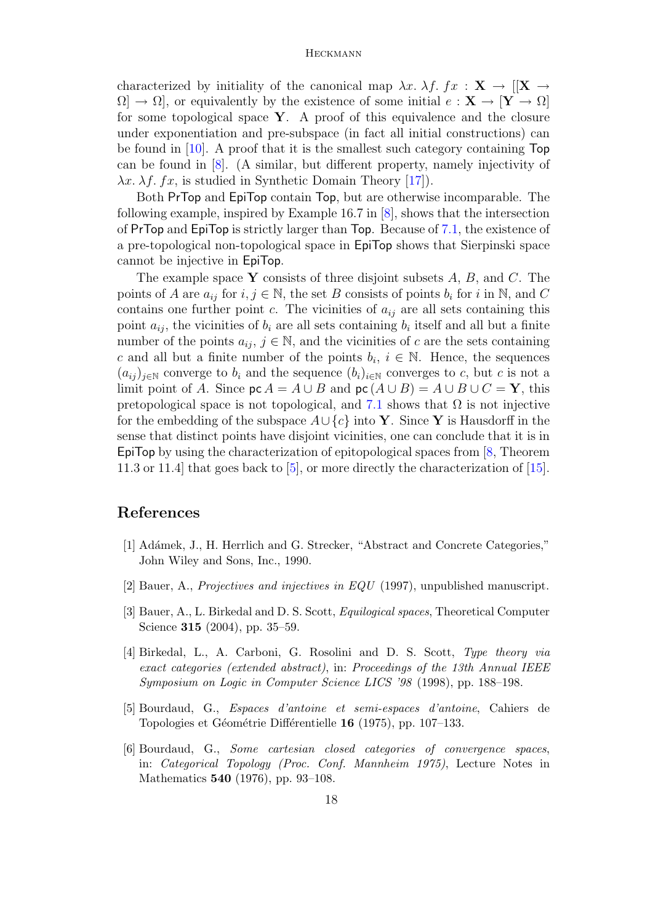characterized by initiality of the canonical map  $\lambda x$ .  $\lambda f$ .  $fx$  :  $\mathbf{X} \rightarrow [[\mathbf{X} \rightarrow$  $\Omega \to \Omega$ , or equivalently by the existence of some initial  $e: \mathbf{X} \to [\mathbf{Y} \to \Omega]$ for some topological space  $Y$ . A proof of this equivalence and the closure under exponentiation and pre-subspace (in fact all initial constructions) can be found in [\[10\]](#page-18-5). A proof that it is the smallest such category containing Top can be found in [\[8\]](#page-18-4). (A similar, but different property, namely injectivity of  $\lambda x$ .  $\lambda f$ . fx, is studied in Synthetic Domain Theory [\[17\]](#page-18-14).

Both PrTop and EpiTop contain Top, but are otherwise incomparable. The following example, inspired by Example 16.7 in [\[8\]](#page-18-4), shows that the intersection of PrTop and EpiTop is strictly larger than Top. Because of [7.1,](#page-8-1) the existence of a pre-topological non-topological space in EpiTop shows that Sierpinski space cannot be injective in EpiTop.

The example space Y consists of three disjoint subsets  $A, B$ , and C. The points of A are  $a_{ij}$  for  $i, j \in \mathbb{N}$ , the set B consists of points  $b_i$  for i in  $\mathbb{N}$ , and C contains one further point c. The vicinities of  $a_{ij}$  are all sets containing this point  $a_{ij}$ , the vicinities of  $b_i$  are all sets containing  $b_i$  itself and all but a finite number of the points  $a_{ij}$ ,  $j \in \mathbb{N}$ , and the vicinities of c are the sets containing c and all but a finite number of the points  $b_i, i \in \mathbb{N}$ . Hence, the sequences  $(a_{ij})_{i\in\mathbb{N}}$  converge to  $b_i$  and the sequence  $(b_i)_{i\in\mathbb{N}}$  converges to c, but c is not a limit point of A. Since  $\textsf{pc}\,A = A \cup B$  and  $\textsf{pc}\,(A \cup B) = A \cup B \cup C = Y$ , this pretopological space is not topological, and [7.1](#page-8-1) shows that  $\Omega$  is not injective for the embedding of the subspace  $A\cup\{c\}$  into Y. Since Y is Hausdorff in the sense that distinct points have disjoint vicinities, one can conclude that it is in EpiTop by using the characterization of epitopological spaces from [\[8,](#page-18-4) Theorem 11.3 or 11.4] that goes back to [\[5\]](#page-17-0), or more directly the characterization of [\[15\]](#page-18-3).

### References

- <span id="page-17-3"></span>[1] Adámek, J., H. Herrlich and G. Strecker, "Abstract and Concrete Categories," John Wiley and Sons, Inc., 1990.
- <span id="page-17-2"></span>[2] Bauer, A., Projectives and injectives in EQU (1997), unpublished manuscript.
- <span id="page-17-4"></span>[3] Bauer, A., L. Birkedal and D. S. Scott, Equilogical spaces, Theoretical Computer Science 315 (2004), pp. 35–59.
- <span id="page-17-5"></span>[4] Birkedal, L., A. Carboni, G. Rosolini and D. S. Scott, Type theory via exact categories (extended abstract), in: Proceedings of the 13th Annual IEEE Symposium on Logic in Computer Science LICS '98 (1998), pp. 188–198.
- <span id="page-17-0"></span>[5] Bourdaud, G., Espaces d'antoine et semi-espaces d'antoine, Cahiers de Topologies et Géométrie Différentielle 16 (1975), pp. 107–133.
- <span id="page-17-1"></span>[6] Bourdaud, G., Some cartesian closed categories of convergence spaces, in: Categorical Topology (Proc. Conf. Mannheim 1975), Lecture Notes in Mathematics 540 (1976), pp. 93–108.